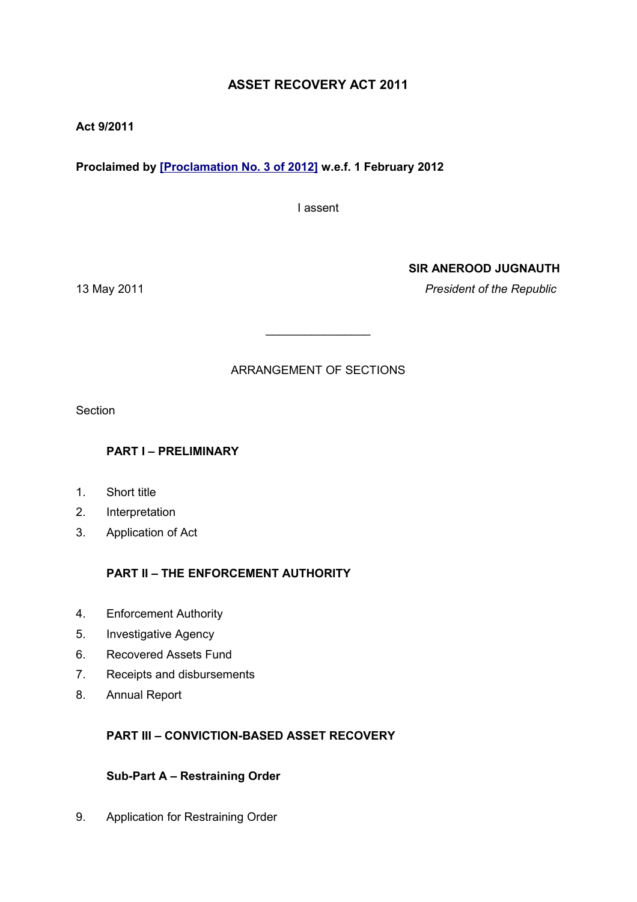# **ASSET RECOVERY ACT 2011**

## **Act 9/2011**

# **Proclaimed by [\[Proclamation No. 3 of 2012\]](http://www1.gov.mu/scourt/doc/showDoc.do?dk=Proclamation%20No.%203%20of%202012&dt=A) w.e.f. 1 February 2012**

I assent

## **SIR ANEROOD JUGNAUTH**

13 May 2011 *President of the Republic*

# ARRANGEMENT OF SECTIONS

\_\_\_\_\_\_\_\_\_\_\_\_\_\_\_\_

Section

# **PART I – PRELIMINARY**

- 1. Short title
- 2. Interpretation
- 3. Application of Act

# **PART II – THE ENFORCEMENT AUTHORITY**

- 4. Enforcement Authority
- 5. Investigative Agency
- 6. Recovered Assets Fund
- 7. Receipts and disbursements
- 8. Annual Report

# **PART III – CONVICTION-BASED ASSET RECOVERY**

## **Sub-Part A – Restraining Order**

9. Application for Restraining Order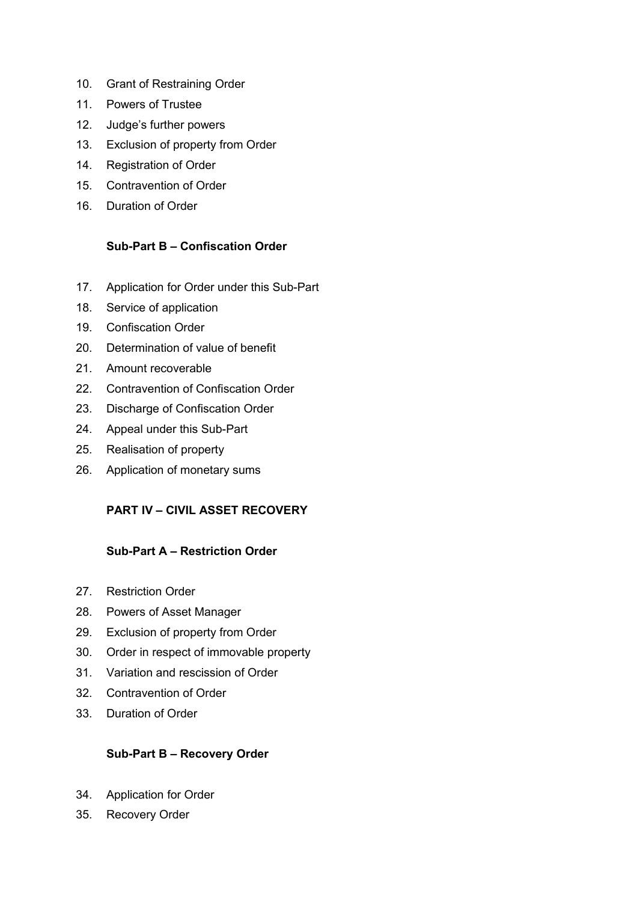- 10. Grant of Restraining Order
- 11. Powers of Trustee
- 12. Judge's further powers
- 13. Exclusion of property from Order
- 14. Registration of Order
- 15. Contravention of Order
- 16. Duration of Order

## **Sub-Part B – Confiscation Order**

- 17. Application for Order under this Sub-Part
- 18. Service of application
- 19. Confiscation Order
- 20. Determination of value of benefit
- 21. Amount recoverable
- 22. Contravention of Confiscation Order
- 23. Discharge of Confiscation Order
- 24. Appeal under this Sub-Part
- 25. Realisation of property
- 26. Application of monetary sums

# **PART IV – CIVIL ASSET RECOVERY**

## **Sub-Part A – Restriction Order**

- 27. Restriction Order
- 28. Powers of Asset Manager
- 29. Exclusion of property from Order
- 30. Order in respect of immovable property
- 31. Variation and rescission of Order
- 32. Contravention of Order
- 33. Duration of Order

# **Sub-Part B – Recovery Order**

- 34. Application for Order
- 35. Recovery Order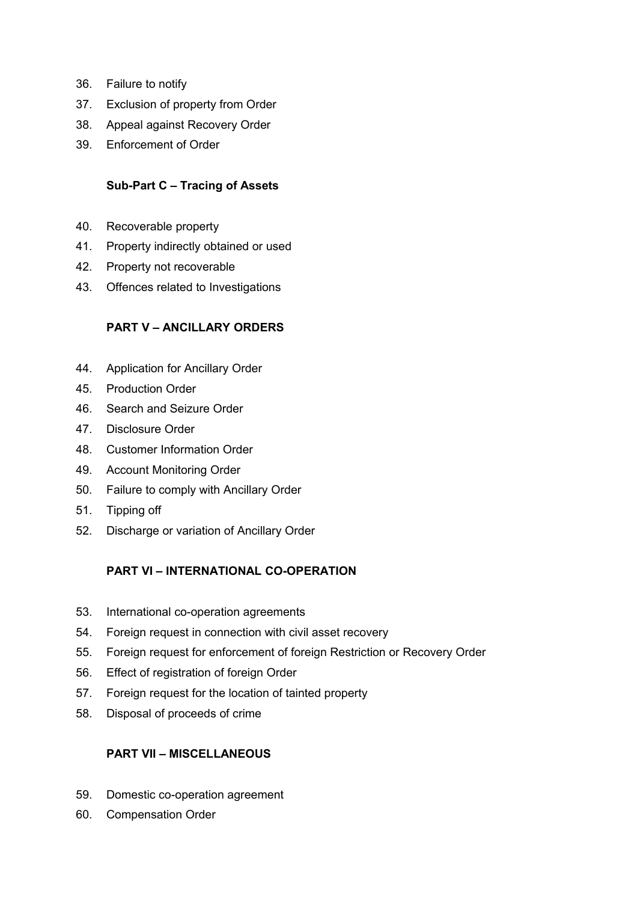- 36. Failure to notify
- 37. Exclusion of property from Order
- 38. Appeal against Recovery Order
- 39. Enforcement of Order

## **Sub-Part C – Tracing of Assets**

- 40. Recoverable property
- 41. Property indirectly obtained or used
- 42. Property not recoverable
- 43. Offences related to Investigations

# **PART V – ANCILLARY ORDERS**

- 44. Application for Ancillary Order
- 45. Production Order
- 46. Search and Seizure Order
- 47. Disclosure Order
- 48. Customer Information Order
- 49. Account Monitoring Order
- 50. Failure to comply with Ancillary Order
- 51. Tipping off
- 52. Discharge or variation of Ancillary Order

# **PART VI – INTERNATIONAL CO-OPERATION**

- 53. International co-operation agreements
- 54. Foreign request in connection with civil asset recovery
- 55. Foreign request for enforcement of foreign Restriction or Recovery Order
- 56. Effect of registration of foreign Order
- 57. Foreign request for the location of tainted property
- 58. Disposal of proceeds of crime

# **PART VII – MISCELLANEOUS**

- 59. Domestic co-operation agreement
- 60. Compensation Order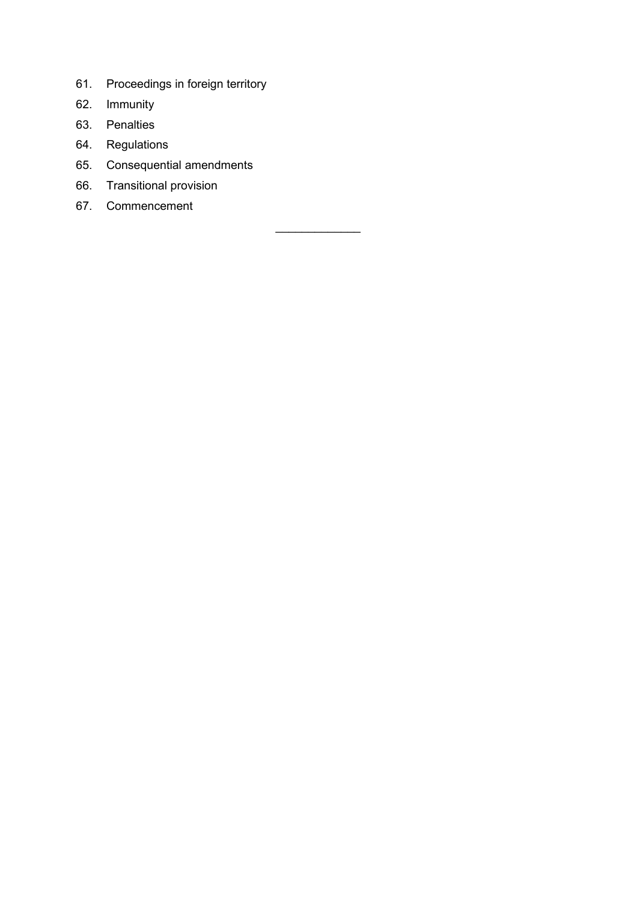- 61. Proceedings in foreign territory
- 62. Immunity
- 63. Penalties
- 64. Regulations
- 65. Consequential amendments
- 66. Transitional provision
- 67. Commencement

 $\mathcal{L}$  , we have the set of the set of the set of the set of the set of the set of the set of the set of the set of the set of the set of the set of the set of the set of the set of the set of the set of the set of the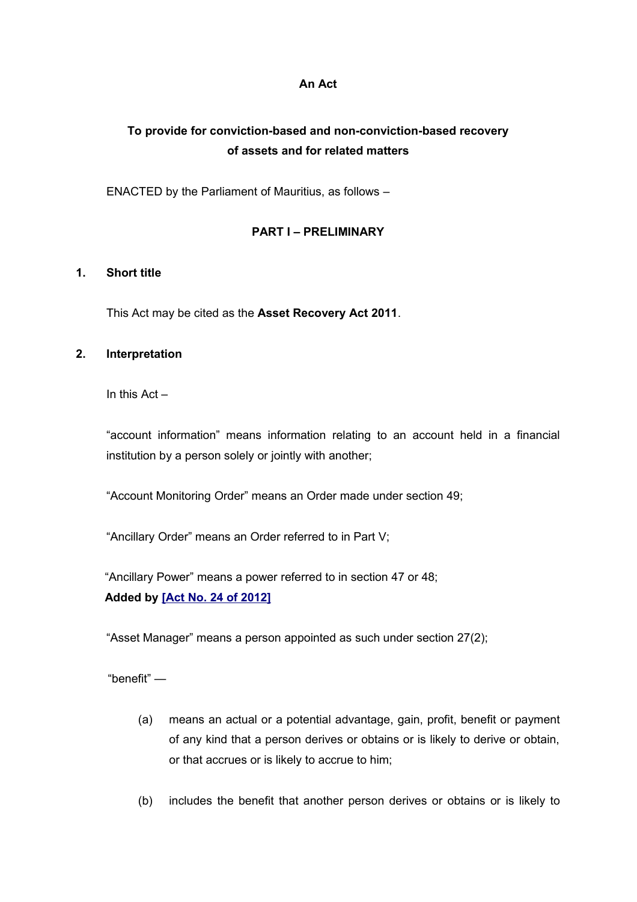#### **An Act**

# **To provide for conviction-based and non-conviction-based recovery of assets and for related matters**

ENACTED by the Parliament of Mauritius, as follows –

## **PART I – PRELIMINARY**

## **1. Short title**

This Act may be cited as the **Asset Recovery Act 2011**.

## **2. Interpretation**

In this Act –

"account information" means information relating to an account held in a financial institution by a person solely or jointly with another;

"Account Monitoring Order" means an Order made under section 49;

"Ancillary Order" means an Order referred to in Part V;

"Ancillary Power" means a power referred to in section 47 or 48; **Added by [\[Act No. 24 of 2012\]](http://www1.gov.mu/scourt/doc/showDoc.do?dk=Act%20No.%2024%20of%202012&dt=A)**

"Asset Manager" means a person appointed as such under section 27(2);

"benefit" —

- (a) means an actual or a potential advantage, gain, profit, benefit or payment of any kind that a person derives or obtains or is likely to derive or obtain, or that accrues or is likely to accrue to him;
- (b) includes the benefit that another person derives or obtains or is likely to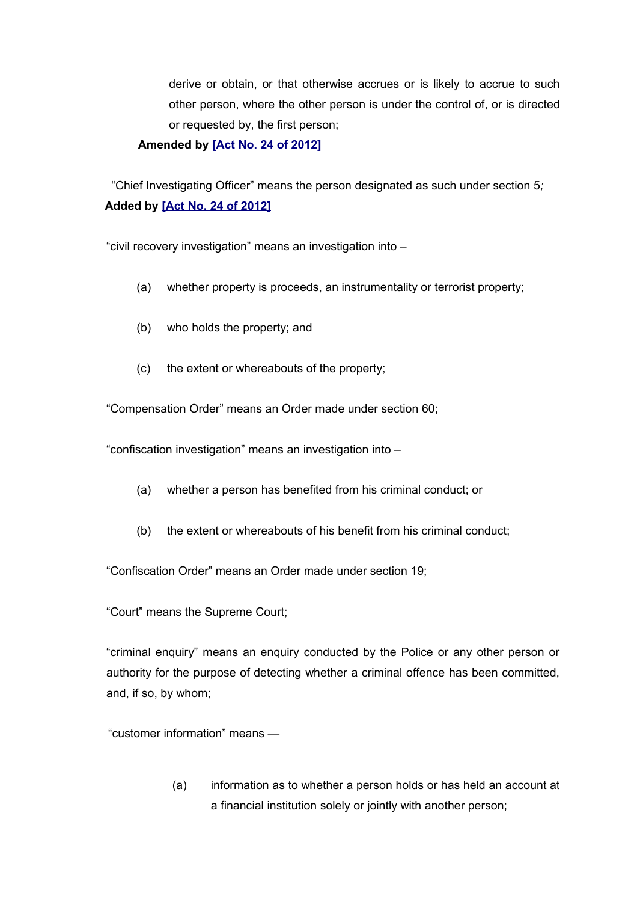derive or obtain, or that otherwise accrues or is likely to accrue to such other person, where the other person is under the control of, or is directed or requested by, the first person;

#### **Amended by [\[Act No. 24 of 2012\]](http://www1.gov.mu/scourt/doc/showDoc.do?dk=Act%20No.%2024%20of%202012&dt=A)**

 "Chief Investigating Officer" means the person designated as such under section 5*;* **Added by [\[Act No. 24 of 2012\]](http://www1.gov.mu/scourt/doc/showDoc.do?dk=Act%20No.%2024%20of%202012&dt=A)**

"civil recovery investigation" means an investigation into –

- (a) whether property is proceeds, an instrumentality or terrorist property;
- (b) who holds the property; and
- (c) the extent or whereabouts of the property;

"Compensation Order" means an Order made under section 60;

"confiscation investigation" means an investigation into –

- (a) whether a person has benefited from his criminal conduct; or
- (b) the extent or whereabouts of his benefit from his criminal conduct;

"Confiscation Order" means an Order made under section 19;

"Court" means the Supreme Court;

"criminal enquiry" means an enquiry conducted by the Police or any other person or authority for the purpose of detecting whether a criminal offence has been committed, and, if so, by whom;

"customer information" means —

(a) information as to whether a person holds or has held an account at a financial institution solely or jointly with another person;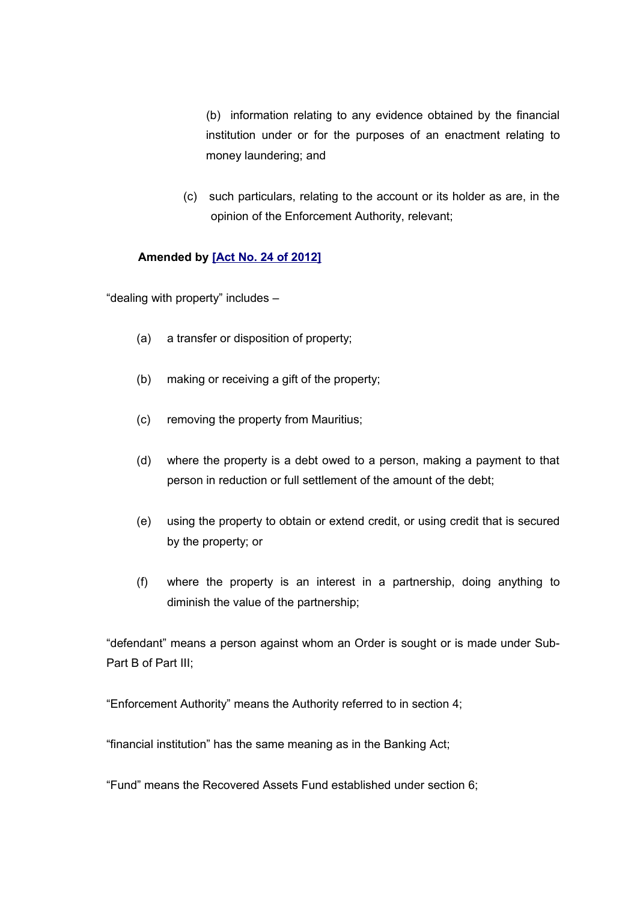(b) information relating to any evidence obtained by the financial institution under or for the purposes of an enactment relating to money laundering; and

 (c) such particulars, relating to the account or its holder as are, in the opinion of the Enforcement Authority, relevant;

## **Amended by [\[Act No. 24 of 2012\]](http://www1.gov.mu/scourt/doc/showDoc.do?dk=Act%20No.%2024%20of%202012&dt=A)**

"dealing with property" includes –

- (a) a transfer or disposition of property;
- (b) making or receiving a gift of the property;
- (c) removing the property from Mauritius;
- (d) where the property is a debt owed to a person, making a payment to that person in reduction or full settlement of the amount of the debt;
- (e) using the property to obtain or extend credit, or using credit that is secured by the property; or
- (f) where the property is an interest in a partnership, doing anything to diminish the value of the partnership;

"defendant" means a person against whom an Order is sought or is made under Sub-Part B of Part III;

"Enforcement Authority" means the Authority referred to in section 4;

"financial institution" has the same meaning as in the Banking Act;

"Fund" means the Recovered Assets Fund established under section 6;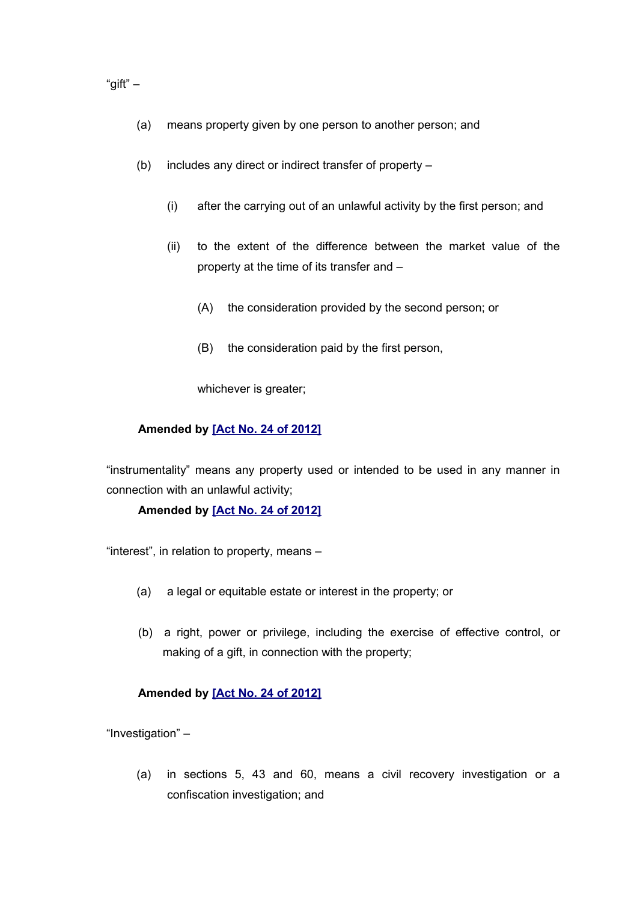"gift"  $-$ 

- (a) means property given by one person to another person; and
- (b) includes any direct or indirect transfer of property
	- (i) after the carrying out of an unlawful activity by the first person; and
	- (ii) to the extent of the difference between the market value of the property at the time of its transfer and –
		- (A) the consideration provided by the second person; or
		- (B) the consideration paid by the first person,

whichever is greater;

## **Amended by [\[Act No. 24 of 2012\]](http://www1.gov.mu/scourt/doc/showDoc.do?dk=Act%20No.%2024%20of%202012&dt=A)**

"instrumentality" means any property used or intended to be used in any manner in connection with an unlawful activity;

## **Amended by [\[Act No. 24 of 2012\]](http://www1.gov.mu/scourt/doc/showDoc.do?dk=Act%20No.%2024%20of%202012&dt=A)**

"interest", in relation to property, means –

- (a) a legal or equitable estate or interest in the property; or
- (b) a right, power or privilege, including the exercise of effective control, or making of a gift, in connection with the property;

## **Amended by [\[Act No. 24 of 2012\]](http://www1.gov.mu/scourt/doc/showDoc.do?dk=Act%20No.%2024%20of%202012&dt=A)**

"Investigation" –

(a) in sections 5, 43 and 60, means a civil recovery investigation or a confiscation investigation; and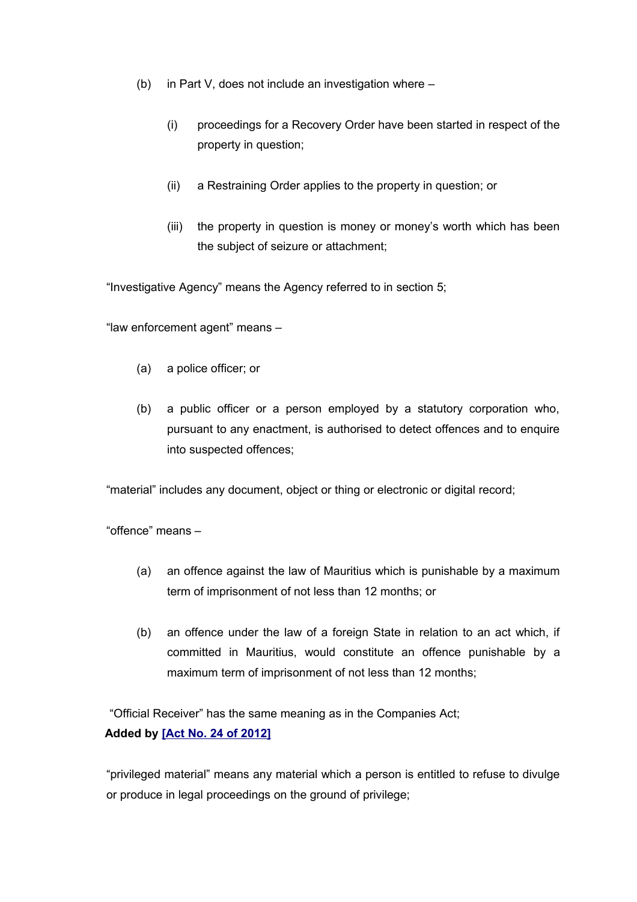- (b) in Part V, does not include an investigation where
	- (i) proceedings for a Recovery Order have been started in respect of the property in question;
	- (ii) a Restraining Order applies to the property in question; or
	- (iii) the property in question is money or money's worth which has been the subject of seizure or attachment;

"Investigative Agency" means the Agency referred to in section 5;

"law enforcement agent" means –

- (a) a police officer; or
- (b) a public officer or a person employed by a statutory corporation who, pursuant to any enactment, is authorised to detect offences and to enquire into suspected offences;

"material" includes any document, object or thing or electronic or digital record;

"offence" means –

- (a) an offence against the law of Mauritius which is punishable by a maximum term of imprisonment of not less than 12 months; or
- (b) an offence under the law of a foreign State in relation to an act which, if committed in Mauritius, would constitute an offence punishable by a maximum term of imprisonment of not less than 12 months;

"Official Receiver" has the same meaning as in the Companies Act;

# **Added by [\[Act No. 24 of 2012\]](http://www1.gov.mu/scourt/doc/showDoc.do?dk=Act%20No.%2024%20of%202012&dt=A)**

"privileged material" means any material which a person is entitled to refuse to divulge or produce in legal proceedings on the ground of privilege;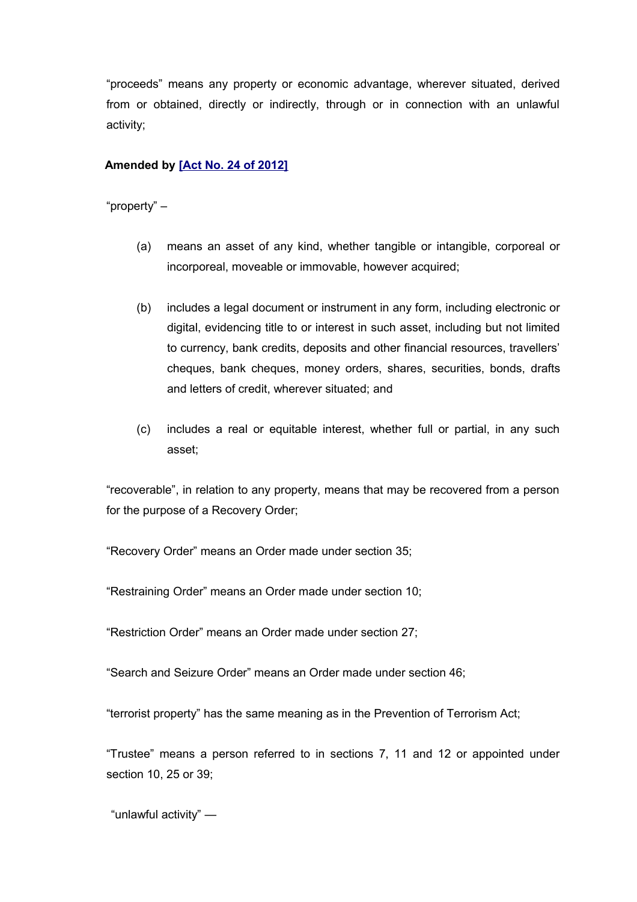"proceeds" means any property or economic advantage, wherever situated, derived from or obtained, directly or indirectly, through or in connection with an unlawful activity;

## **Amended by [\[Act No. 24 of 2012\]](http://www1.gov.mu/scourt/doc/showDoc.do?dk=Act%20No.%2024%20of%202012&dt=A)**

"property" –

- (a) means an asset of any kind, whether tangible or intangible, corporeal or incorporeal, moveable or immovable, however acquired;
- (b) includes a legal document or instrument in any form, including electronic or digital, evidencing title to or interest in such asset, including but not limited to currency, bank credits, deposits and other financial resources, travellers' cheques, bank cheques, money orders, shares, securities, bonds, drafts and letters of credit, wherever situated; and
- (c) includes a real or equitable interest, whether full or partial, in any such asset;

"recoverable", in relation to any property, means that may be recovered from a person for the purpose of a Recovery Order;

"Recovery Order" means an Order made under section 35;

"Restraining Order" means an Order made under section 10;

"Restriction Order" means an Order made under section 27;

"Search and Seizure Order" means an Order made under section 46;

"terrorist property" has the same meaning as in the Prevention of Terrorism Act;

"Trustee" means a person referred to in sections 7, 11 and 12 or appointed under section 10, 25 or 39;

"unlawful activity" —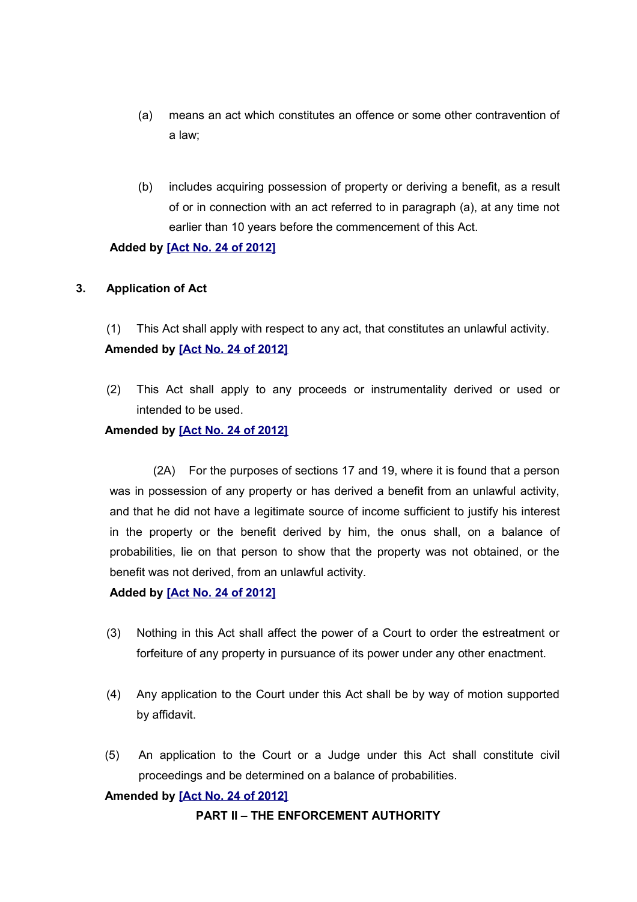- (a) means an act which constitutes an offence or some other contravention of a law;
- (b) includes acquiring possession of property or deriving a benefit, as a result of or in connection with an act referred to in paragraph (a), at any time not earlier than 10 years before the commencement of this Act.

## **Added by [\[Act No. 24 of 2012\]](http://www1.gov.mu/scourt/doc/showDoc.do?dk=Act%20No.%2024%20of%202012&dt=A)**

## **3. Application of Act**

(1) This Act shall apply with respect to any act, that constitutes an unlawful activity. **Amended by [\[Act No. 24 of 2012\]](http://www1.gov.mu/scourt/doc/showDoc.do?dk=Act%20No.%2024%20of%202012&dt=A)**

(2) This Act shall apply to any proceeds or instrumentality derived or used or intended to be used.

## **Amended by [\[Act No. 24 of 2012\]](http://www1.gov.mu/scourt/doc/showDoc.do?dk=Act%20No.%2024%20of%202012&dt=A)**

(2A) For the purposes of sections 17 and 19, where it is found that a person was in possession of any property or has derived a benefit from an unlawful activity, and that he did not have a legitimate source of income sufficient to justify his interest in the property or the benefit derived by him, the onus shall, on a balance of probabilities, lie on that person to show that the property was not obtained, or the benefit was not derived, from an unlawful activity.

## **Added by [\[Act No. 24 of 2012\]](http://www1.gov.mu/scourt/doc/showDoc.do?dk=Act%20No.%2024%20of%202012&dt=A)**

- (3) Nothing in this Act shall affect the power of a Court to order the estreatment or forfeiture of any property in pursuance of its power under any other enactment.
- (4) Any application to the Court under this Act shall be by way of motion supported by affidavit.
- (5) An application to the Court or a Judge under this Act shall constitute civil proceedings and be determined on a balance of probabilities.

# **Amended by [\[Act No. 24 of 2012\]](http://www1.gov.mu/scourt/doc/showDoc.do?dk=Act%20No.%2024%20of%202012&dt=A)**

## **PART II – THE ENFORCEMENT AUTHORITY**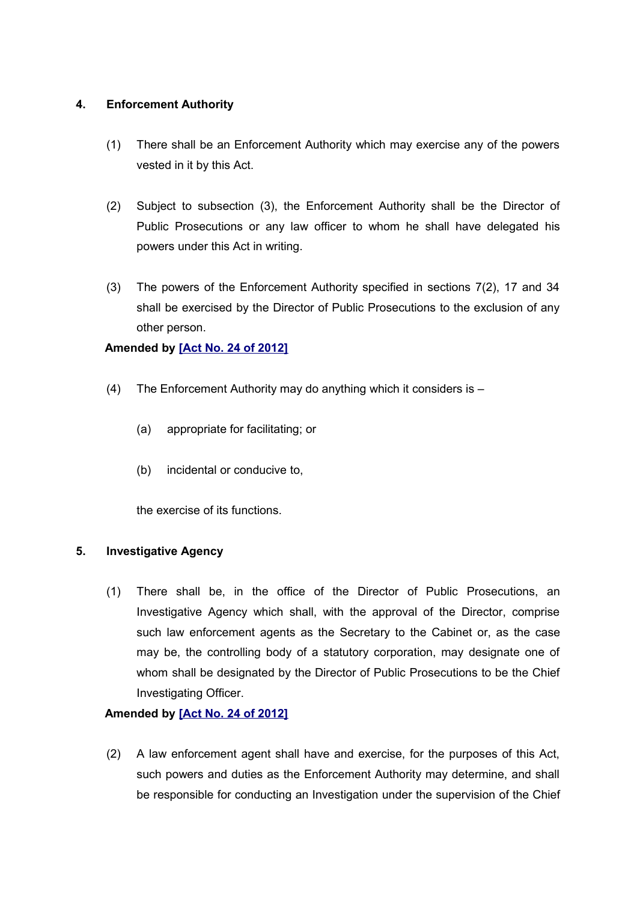# **4. Enforcement Authority**

- (1) There shall be an Enforcement Authority which may exercise any of the powers vested in it by this Act.
- (2) Subject to subsection (3), the Enforcement Authority shall be the Director of Public Prosecutions or any law officer to whom he shall have delegated his powers under this Act in writing.
- (3) The powers of the Enforcement Authority specified in sections 7(2), 17 and 34 shall be exercised by the Director of Public Prosecutions to the exclusion of any other person.

## **Amended by [\[Act No. 24 of 2012\]](http://www1.gov.mu/scourt/doc/showDoc.do?dk=Act%20No.%2024%20of%202012&dt=A)**

- (4) The Enforcement Authority may do anything which it considers is
	- (a) appropriate for facilitating; or
	- (b) incidental or conducive to,

the exercise of its functions.

## **5. Investigative Agency**

(1) There shall be, in the office of the Director of Public Prosecutions, an Investigative Agency which shall, with the approval of the Director, comprise such law enforcement agents as the Secretary to the Cabinet or, as the case may be, the controlling body of a statutory corporation, may designate one of whom shall be designated by the Director of Public Prosecutions to be the Chief Investigating Officer.

# **Amended by [\[Act No. 24 of 2012\]](http://www1.gov.mu/scourt/doc/showDoc.do?dk=Act%20No.%2024%20of%202012&dt=A)**

(2) A law enforcement agent shall have and exercise, for the purposes of this Act, such powers and duties as the Enforcement Authority may determine, and shall be responsible for conducting an Investigation under the supervision of the Chief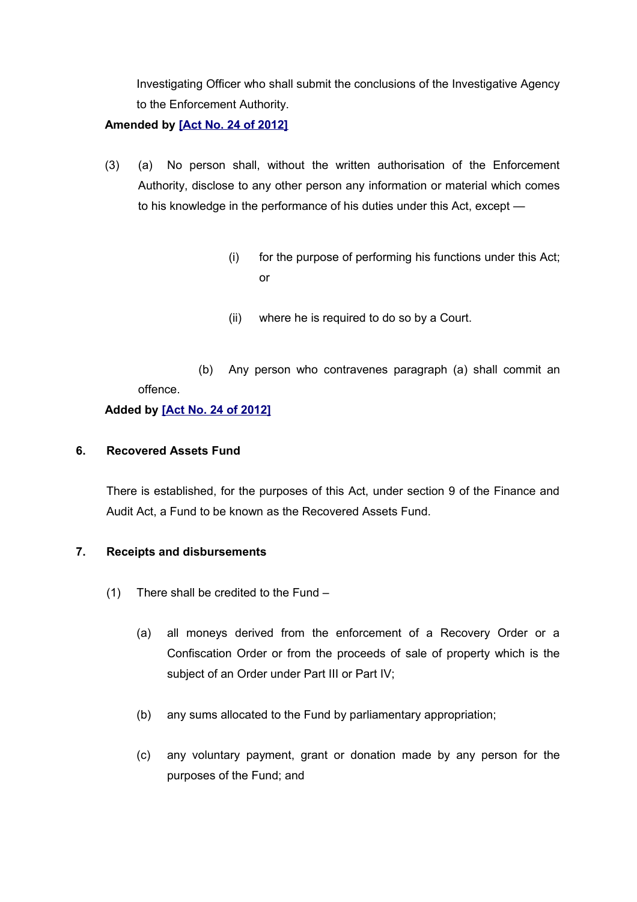Investigating Officer who shall submit the conclusions of the Investigative Agency to the Enforcement Authority.

## **Amended by [\[Act No. 24 of 2012\]](http://www1.gov.mu/scourt/doc/showDoc.do?dk=Act%20No.%2024%20of%202012&dt=A)**

- (3) (a) No person shall, without the written authorisation of the Enforcement Authority, disclose to any other person any information or material which comes to his knowledge in the performance of his duties under this Act, except —
	- (i) for the purpose of performing his functions under this Act; or
	- (ii) where he is required to do so by a Court.
	- (b) Any person who contravenes paragraph (a) shall commit an offence.

## **Added by [\[Act No. 24 of 2012\]](http://www1.gov.mu/scourt/doc/showDoc.do?dk=Act%20No.%2024%20of%202012&dt=A)**

## **6. Recovered Assets Fund**

There is established, for the purposes of this Act, under section 9 of the Finance and Audit Act, a Fund to be known as the Recovered Assets Fund.

## **7. Receipts and disbursements**

- (1) There shall be credited to the Fund
	- (a) all moneys derived from the enforcement of a Recovery Order or a Confiscation Order or from the proceeds of sale of property which is the subject of an Order under Part III or Part IV;
	- (b) any sums allocated to the Fund by parliamentary appropriation;
	- (c) any voluntary payment, grant or donation made by any person for the purposes of the Fund; and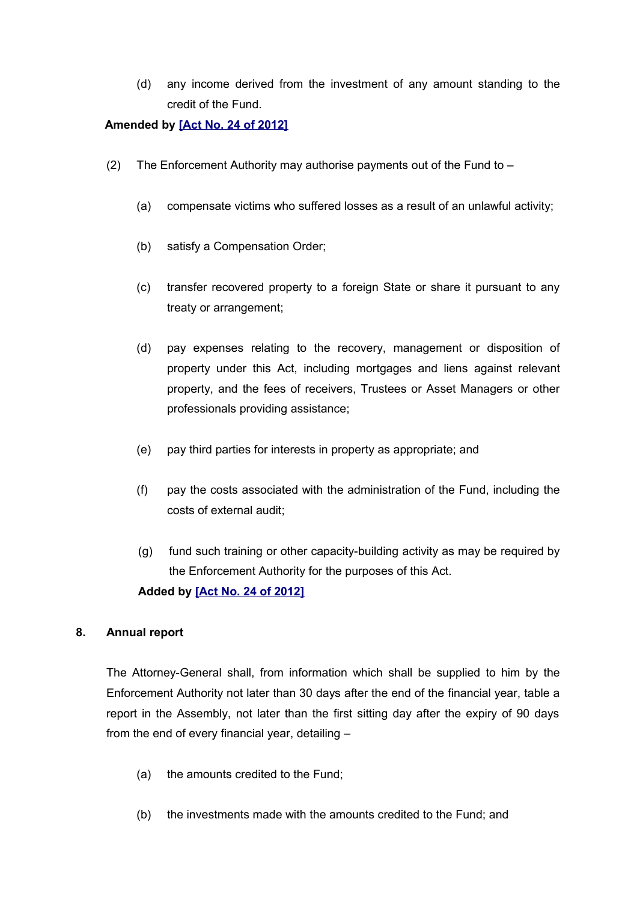(d) any income derived from the investment of any amount standing to the credit of the Fund.

## **Amended by [\[Act No. 24 of 2012\]](http://www1.gov.mu/scourt/doc/showDoc.do?dk=Act%20No.%2024%20of%202012&dt=A)**

- (2) The Enforcement Authority may authorise payments out of the Fund to  $-$ 
	- (a) compensate victims who suffered losses as a result of an unlawful activity;
	- (b) satisfy a Compensation Order;
	- (c) transfer recovered property to a foreign State or share it pursuant to any treaty or arrangement;
	- (d) pay expenses relating to the recovery, management or disposition of property under this Act, including mortgages and liens against relevant property, and the fees of receivers, Trustees or Asset Managers or other professionals providing assistance;
	- (e) pay third parties for interests in property as appropriate; and
	- (f) pay the costs associated with the administration of the Fund, including the costs of external audit;
	- (g) fund such training or other capacity-building activity as may be required by the Enforcement Authority for the purposes of this Act. **Added by [\[Act No. 24 of 2012\]](http://www1.gov.mu/scourt/doc/showDoc.do?dk=Act%20No.%2024%20of%202012&dt=A)**

# **8. Annual report**

The Attorney-General shall, from information which shall be supplied to him by the Enforcement Authority not later than 30 days after the end of the financial year, table a report in the Assembly, not later than the first sitting day after the expiry of 90 days from the end of every financial year, detailing –

- (a) the amounts credited to the Fund;
- (b) the investments made with the amounts credited to the Fund; and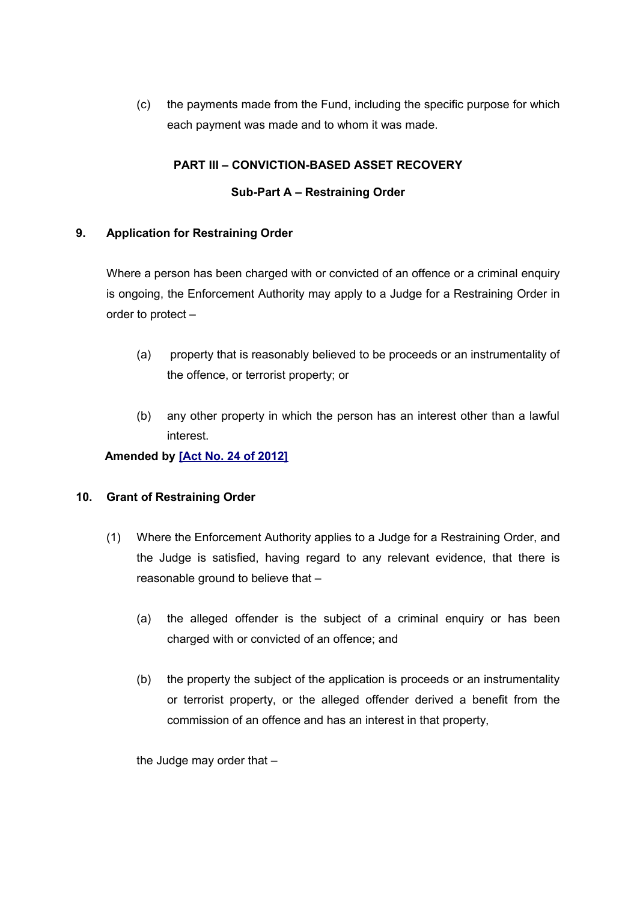(c) the payments made from the Fund, including the specific purpose for which each payment was made and to whom it was made.

# **PART III – CONVICTION-BASED ASSET RECOVERY**

## **Sub-Part A – Restraining Order**

## **9. Application for Restraining Order**

Where a person has been charged with or convicted of an offence or a criminal enquiry is ongoing, the Enforcement Authority may apply to a Judge for a Restraining Order in order to protect –

- (a) property that is reasonably believed to be proceeds or an instrumentality of the offence, or terrorist property; or
- (b) any other property in which the person has an interest other than a lawful interest.

# **Amended by [\[Act No. 24 of 2012\]](http://www1.gov.mu/scourt/doc/showDoc.do?dk=Act%20No.%2024%20of%202012&dt=A)**

## **10. Grant of Restraining Order**

- (1) Where the Enforcement Authority applies to a Judge for a Restraining Order, and the Judge is satisfied, having regard to any relevant evidence, that there is reasonable ground to believe that –
	- (a) the alleged offender is the subject of a criminal enquiry or has been charged with or convicted of an offence; and
	- (b) the property the subject of the application is proceeds or an instrumentality or terrorist property, or the alleged offender derived a benefit from the commission of an offence and has an interest in that property,

the Judge may order that –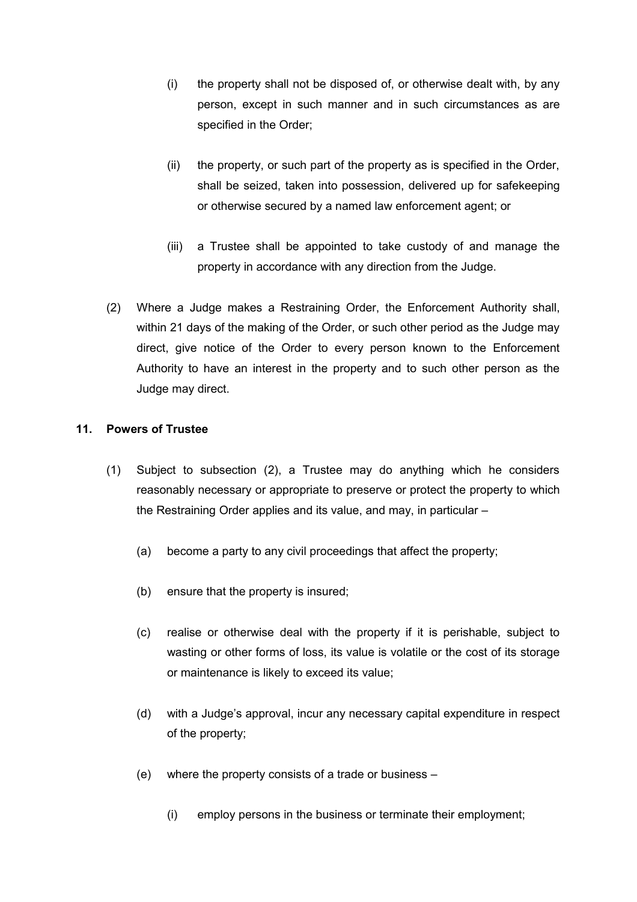- (i) the property shall not be disposed of, or otherwise dealt with, by any person, except in such manner and in such circumstances as are specified in the Order;
- (ii) the property, or such part of the property as is specified in the Order, shall be seized, taken into possession, delivered up for safekeeping or otherwise secured by a named law enforcement agent; or
- (iii) a Trustee shall be appointed to take custody of and manage the property in accordance with any direction from the Judge.
- (2) Where a Judge makes a Restraining Order, the Enforcement Authority shall, within 21 days of the making of the Order, or such other period as the Judge may direct, give notice of the Order to every person known to the Enforcement Authority to have an interest in the property and to such other person as the Judge may direct.

## **11. Powers of Trustee**

- (1) Subject to subsection (2), a Trustee may do anything which he considers reasonably necessary or appropriate to preserve or protect the property to which the Restraining Order applies and its value, and may, in particular –
	- (a) become a party to any civil proceedings that affect the property;
	- (b) ensure that the property is insured;
	- (c) realise or otherwise deal with the property if it is perishable, subject to wasting or other forms of loss, its value is volatile or the cost of its storage or maintenance is likely to exceed its value;
	- (d) with a Judge's approval, incur any necessary capital expenditure in respect of the property;
	- (e) where the property consists of a trade or business
		- (i) employ persons in the business or terminate their employment;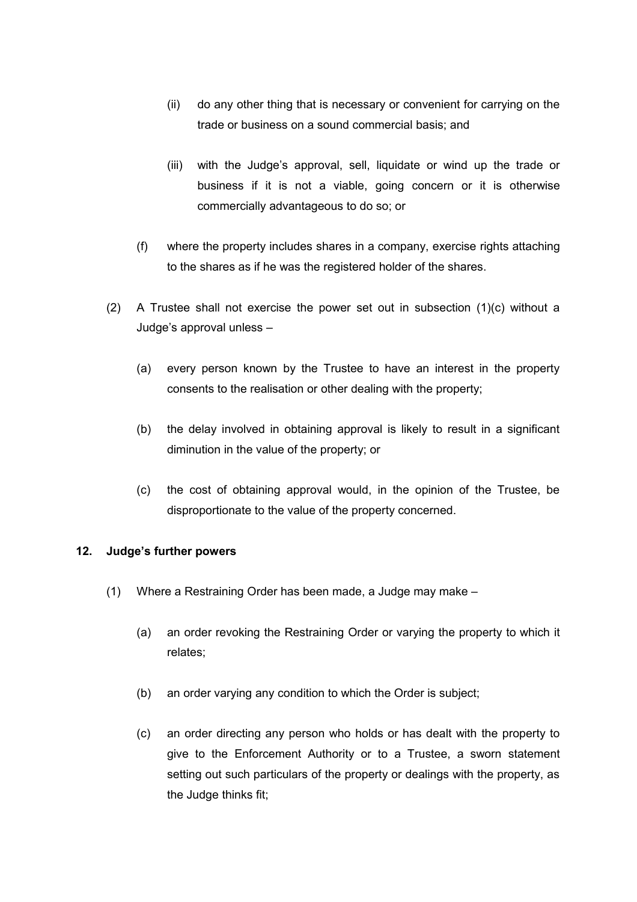- (ii) do any other thing that is necessary or convenient for carrying on the trade or business on a sound commercial basis; and
- (iii) with the Judge's approval, sell, liquidate or wind up the trade or business if it is not a viable, going concern or it is otherwise commercially advantageous to do so; or
- (f) where the property includes shares in a company, exercise rights attaching to the shares as if he was the registered holder of the shares.
- (2) A Trustee shall not exercise the power set out in subsection (1)(c) without a Judge's approval unless –
	- (a) every person known by the Trustee to have an interest in the property consents to the realisation or other dealing with the property;
	- (b) the delay involved in obtaining approval is likely to result in a significant diminution in the value of the property; or
	- (c) the cost of obtaining approval would, in the opinion of the Trustee, be disproportionate to the value of the property concerned.

## **12. Judge's further powers**

- (1) Where a Restraining Order has been made, a Judge may make
	- (a) an order revoking the Restraining Order or varying the property to which it relates;
	- (b) an order varying any condition to which the Order is subject;
	- (c) an order directing any person who holds or has dealt with the property to give to the Enforcement Authority or to a Trustee, a sworn statement setting out such particulars of the property or dealings with the property, as the Judge thinks fit;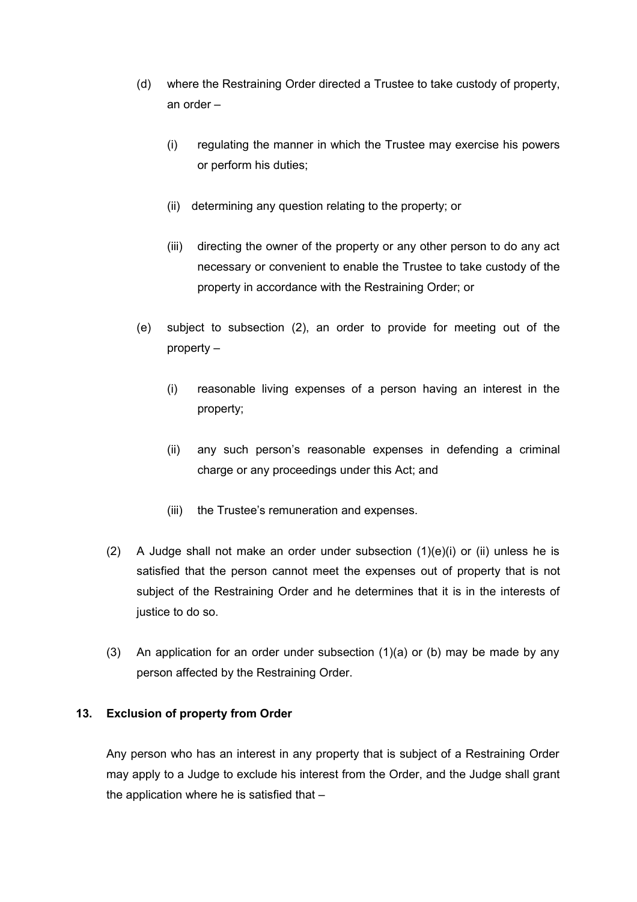- (d) where the Restraining Order directed a Trustee to take custody of property, an order –
	- (i) regulating the manner in which the Trustee may exercise his powers or perform his duties;
	- (ii) determining any question relating to the property; or
	- (iii) directing the owner of the property or any other person to do any act necessary or convenient to enable the Trustee to take custody of the property in accordance with the Restraining Order; or
- (e) subject to subsection (2), an order to provide for meeting out of the property –
	- (i) reasonable living expenses of a person having an interest in the property;
	- (ii) any such person's reasonable expenses in defending a criminal charge or any proceedings under this Act; and
	- (iii) the Trustee's remuneration and expenses.
- (2) A Judge shall not make an order under subsection (1)(e)(i) or (ii) unless he is satisfied that the person cannot meet the expenses out of property that is not subject of the Restraining Order and he determines that it is in the interests of justice to do so.
- (3) An application for an order under subsection (1)(a) or (b) may be made by any person affected by the Restraining Order.

# **13. Exclusion of property from Order**

Any person who has an interest in any property that is subject of a Restraining Order may apply to a Judge to exclude his interest from the Order, and the Judge shall grant the application where he is satisfied that  $-$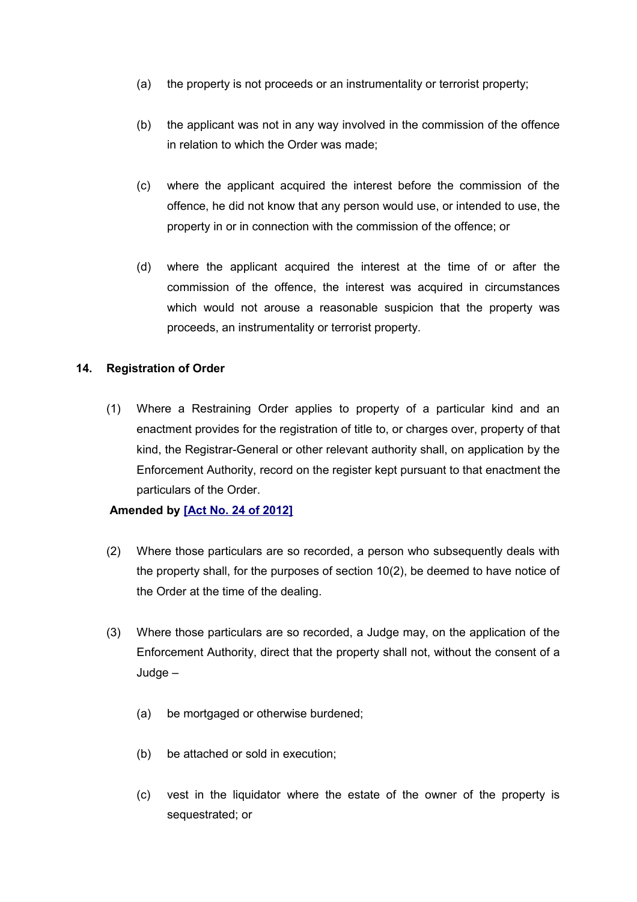- (a) the property is not proceeds or an instrumentality or terrorist property;
- (b) the applicant was not in any way involved in the commission of the offence in relation to which the Order was made;
- (c) where the applicant acquired the interest before the commission of the offence, he did not know that any person would use, or intended to use, the property in or in connection with the commission of the offence; or
- (d) where the applicant acquired the interest at the time of or after the commission of the offence, the interest was acquired in circumstances which would not arouse a reasonable suspicion that the property was proceeds, an instrumentality or terrorist property.

## **14. Registration of Order**

(1) Where a Restraining Order applies to property of a particular kind and an enactment provides for the registration of title to, or charges over, property of that kind, the Registrar-General or other relevant authority shall, on application by the Enforcement Authority, record on the register kept pursuant to that enactment the particulars of the Order.

## **Amended by [\[Act No. 24 of 2012\]](http://www1.gov.mu/scourt/doc/showDoc.do?dk=Act%20No.%2024%20of%202012&dt=A)**

- (2) Where those particulars are so recorded, a person who subsequently deals with the property shall, for the purposes of section 10(2), be deemed to have notice of the Order at the time of the dealing.
- (3) Where those particulars are so recorded, a Judge may, on the application of the Enforcement Authority, direct that the property shall not, without the consent of a Judge –
	- (a) be mortgaged or otherwise burdened;
	- (b) be attached or sold in execution;
	- (c) vest in the liquidator where the estate of the owner of the property is sequestrated; or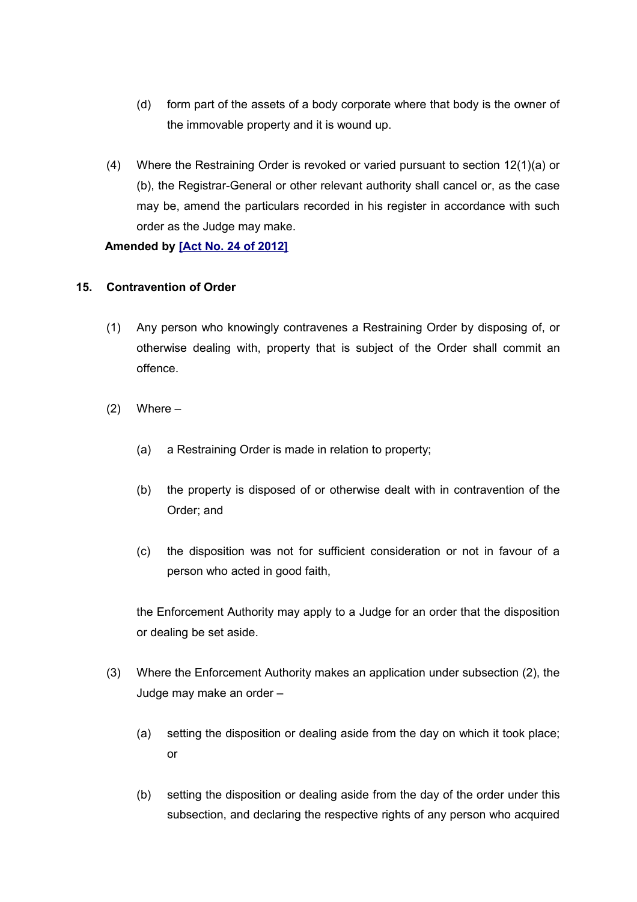- (d) form part of the assets of a body corporate where that body is the owner of the immovable property and it is wound up.
- (4) Where the Restraining Order is revoked or varied pursuant to section 12(1)(a) or (b), the Registrar-General or other relevant authority shall cancel or, as the case may be, amend the particulars recorded in his register in accordance with such order as the Judge may make.

## **Amended by [\[Act No. 24 of 2012\]](http://www1.gov.mu/scourt/doc/showDoc.do?dk=Act%20No.%2024%20of%202012&dt=A)**

## **15. Contravention of Order**

- (1) Any person who knowingly contravenes a Restraining Order by disposing of, or otherwise dealing with, property that is subject of the Order shall commit an offence.
- $(2)$  Where
	- (a) a Restraining Order is made in relation to property;
	- (b) the property is disposed of or otherwise dealt with in contravention of the Order; and
	- (c) the disposition was not for sufficient consideration or not in favour of a person who acted in good faith,

the Enforcement Authority may apply to a Judge for an order that the disposition or dealing be set aside.

- (3) Where the Enforcement Authority makes an application under subsection (2), the Judge may make an order –
	- (a) setting the disposition or dealing aside from the day on which it took place; or
	- (b) setting the disposition or dealing aside from the day of the order under this subsection, and declaring the respective rights of any person who acquired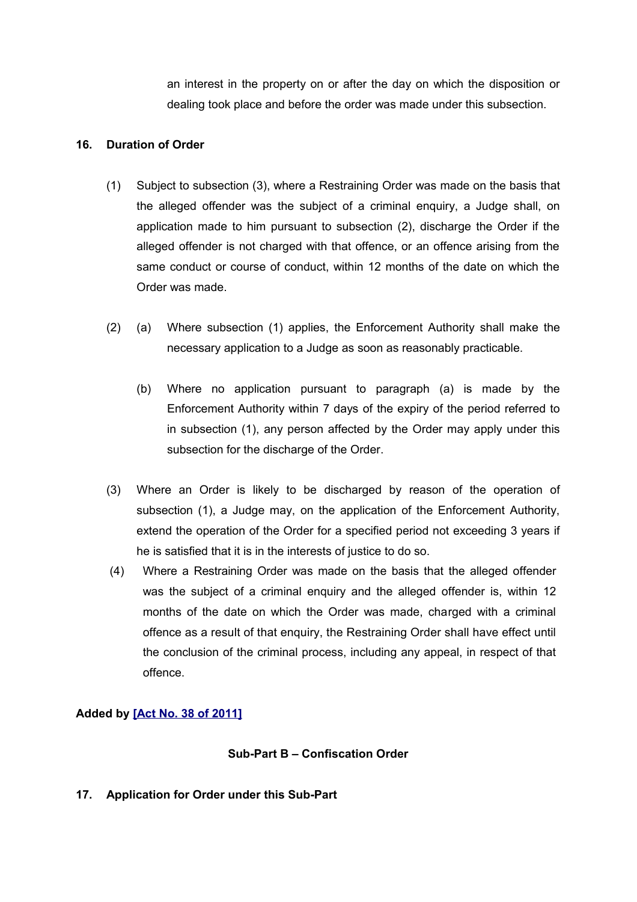an interest in the property on or after the day on which the disposition or dealing took place and before the order was made under this subsection.

## **16. Duration of Order**

- (1) Subject to subsection (3), where a Restraining Order was made on the basis that the alleged offender was the subject of a criminal enquiry, a Judge shall, on application made to him pursuant to subsection (2), discharge the Order if the alleged offender is not charged with that offence, or an offence arising from the same conduct or course of conduct, within 12 months of the date on which the Order was made.
- (2) (a) Where subsection (1) applies, the Enforcement Authority shall make the necessary application to a Judge as soon as reasonably practicable.
	- (b) Where no application pursuant to paragraph (a) is made by the Enforcement Authority within 7 days of the expiry of the period referred to in subsection (1), any person affected by the Order may apply under this subsection for the discharge of the Order.
- (3) Where an Order is likely to be discharged by reason of the operation of subsection (1), a Judge may, on the application of the Enforcement Authority, extend the operation of the Order for a specified period not exceeding 3 years if he is satisfied that it is in the interests of justice to do so.
- (4) Where a Restraining Order was made on the basis that the alleged offender was the subject of a criminal enquiry and the alleged offender is, within 12 months of the date on which the Order was made, charged with a criminal offence as a result of that enquiry, the Restraining Order shall have effect until the conclusion of the criminal process, including any appeal, in respect of that offence.

# **Added by [\[Act No. 38 of 2011\]](http://www1.gov.mu/scourt/doc/showDoc.do?dk=Act%20No.%2038%20of%202011&dt=A)**

# **Sub-Part B – Confiscation Order**

# **17. Application for Order under this Sub-Part**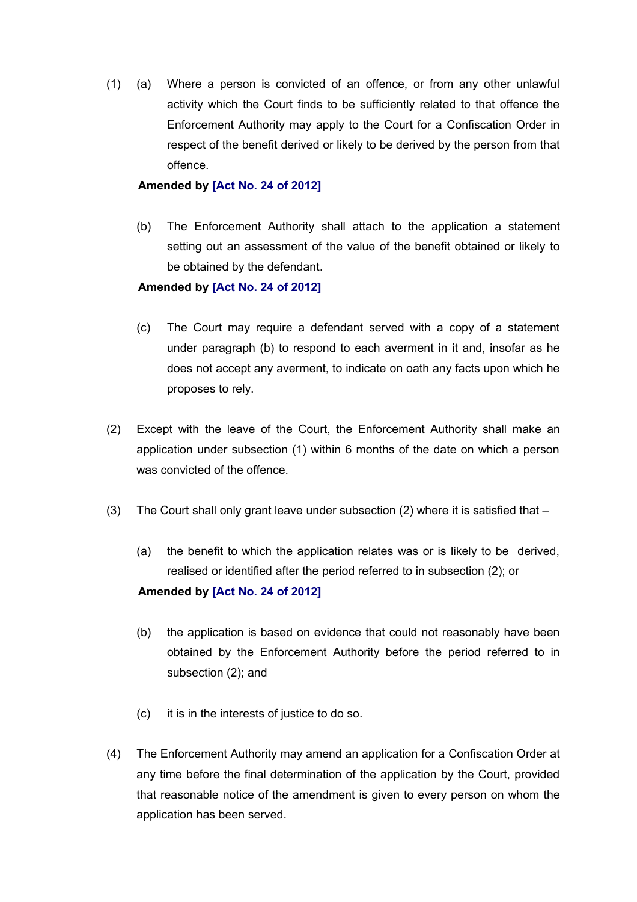(1) (a) Where a person is convicted of an offence, or from any other unlawful activity which the Court finds to be sufficiently related to that offence the Enforcement Authority may apply to the Court for a Confiscation Order in respect of the benefit derived or likely to be derived by the person from that offence.

## **Amended by [\[Act No. 24 of 2012\]](http://www1.gov.mu/scourt/doc/showDoc.do?dk=Act%20No.%2024%20of%202012&dt=A)**

(b) The Enforcement Authority shall attach to the application a statement setting out an assessment of the value of the benefit obtained or likely to be obtained by the defendant.

## **Amended by [\[Act No. 24 of 2012\]](http://www1.gov.mu/scourt/doc/showDoc.do?dk=Act%20No.%2024%20of%202012&dt=A)**

- (c) The Court may require a defendant served with a copy of a statement under paragraph (b) to respond to each averment in it and, insofar as he does not accept any averment, to indicate on oath any facts upon which he proposes to rely.
- (2) Except with the leave of the Court, the Enforcement Authority shall make an application under subsection (1) within 6 months of the date on which a person was convicted of the offence.
- (3) The Court shall only grant leave under subsection (2) where it is satisfied that  $-$ 
	- (a) the benefit to which the application relates was or is likely to be derived, realised or identified after the period referred to in subsection (2); or **Amended by [\[Act No. 24 of 2012\]](http://www1.gov.mu/scourt/doc/showDoc.do?dk=Act%20No.%2024%20of%202012&dt=A)**
	- (b) the application is based on evidence that could not reasonably have been obtained by the Enforcement Authority before the period referred to in subsection (2); and
	- (c) it is in the interests of justice to do so.
- (4) The Enforcement Authority may amend an application for a Confiscation Order at any time before the final determination of the application by the Court, provided that reasonable notice of the amendment is given to every person on whom the application has been served.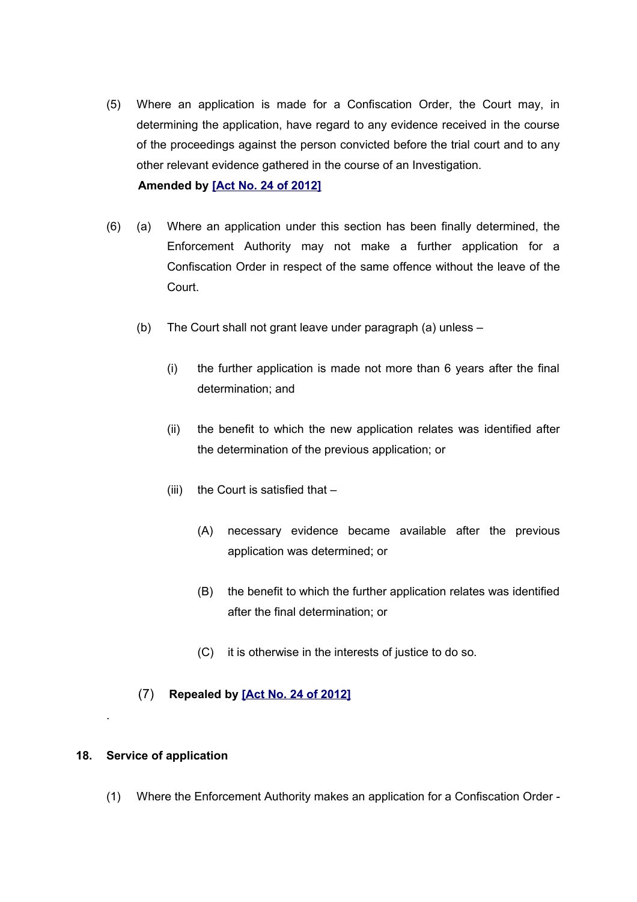- (5) Where an application is made for a Confiscation Order, the Court may, in determining the application, have regard to any evidence received in the course of the proceedings against the person convicted before the trial court and to any other relevant evidence gathered in the course of an Investigation. **Amended by [\[Act No. 24 of 2012\]](http://www1.gov.mu/scourt/doc/showDoc.do?dk=Act%20No.%2024%20of%202012&dt=A)**
- (6) (a) Where an application under this section has been finally determined, the Enforcement Authority may not make a further application for a Confiscation Order in respect of the same offence without the leave of the Court.
	- (b) The Court shall not grant leave under paragraph (a) unless
		- (i) the further application is made not more than 6 years after the final determination; and
		- (ii) the benefit to which the new application relates was identified after the determination of the previous application; or
		- (iii) the Court is satisfied that  $-$ 
			- (A) necessary evidence became available after the previous application was determined; or
			- (B) the benefit to which the further application relates was identified after the final determination; or
			- (C) it is otherwise in the interests of justice to do so.
	- (7) **Repealed by [\[Act No. 24 of 2012\]](http://www1.gov.mu/scourt/doc/showDoc.do?dk=Act%20No.%2024%20of%202012&dt=A)**

#### **18. Service of application**

.

(1) Where the Enforcement Authority makes an application for a Confiscation Order -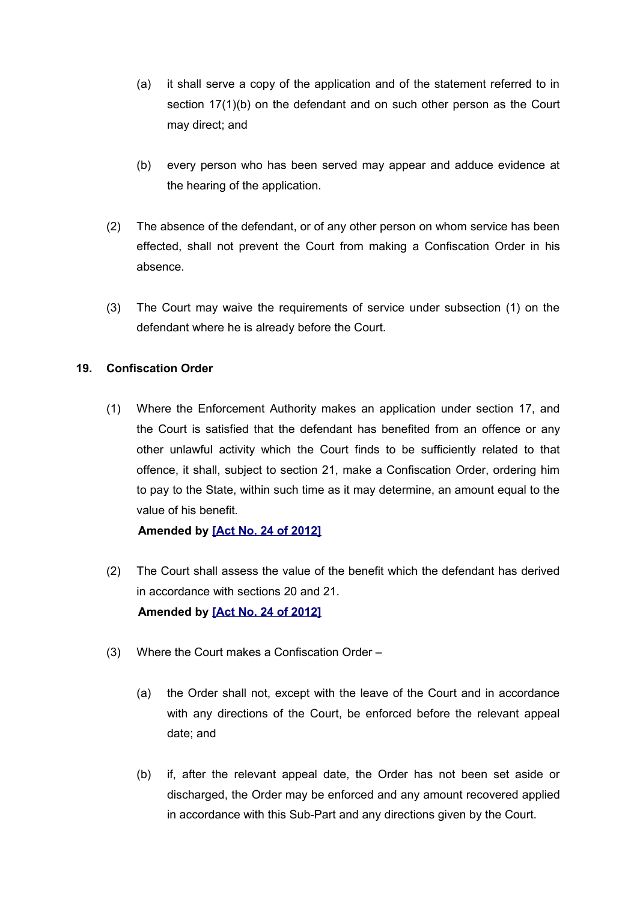- (a) it shall serve a copy of the application and of the statement referred to in section 17(1)(b) on the defendant and on such other person as the Court may direct; and
- (b) every person who has been served may appear and adduce evidence at the hearing of the application.
- (2) The absence of the defendant, or of any other person on whom service has been effected, shall not prevent the Court from making a Confiscation Order in his absence.
- (3) The Court may waive the requirements of service under subsection (1) on the defendant where he is already before the Court.

# **19. Confiscation Order**

(1) Where the Enforcement Authority makes an application under section 17, and the Court is satisfied that the defendant has benefited from an offence or any other unlawful activity which the Court finds to be sufficiently related to that offence, it shall, subject to section 21, make a Confiscation Order, ordering him to pay to the State, within such time as it may determine, an amount equal to the value of his benefit*.*

**Amended by [\[Act No. 24 of 2012\]](http://www1.gov.mu/scourt/doc/showDoc.do?dk=Act%20No.%2024%20of%202012&dt=A)**

- (2) The Court shall assess the value of the benefit which the defendant has derived in accordance with sections 20 and 21. **Amended by [\[Act No. 24 of 2012\]](http://www1.gov.mu/scourt/doc/showDoc.do?dk=Act%20No.%2024%20of%202012&dt=A)**
- (3) Where the Court makes a Confiscation Order
	- (a) the Order shall not, except with the leave of the Court and in accordance with any directions of the Court, be enforced before the relevant appeal date; and
	- (b) if, after the relevant appeal date, the Order has not been set aside or discharged, the Order may be enforced and any amount recovered applied in accordance with this Sub-Part and any directions given by the Court.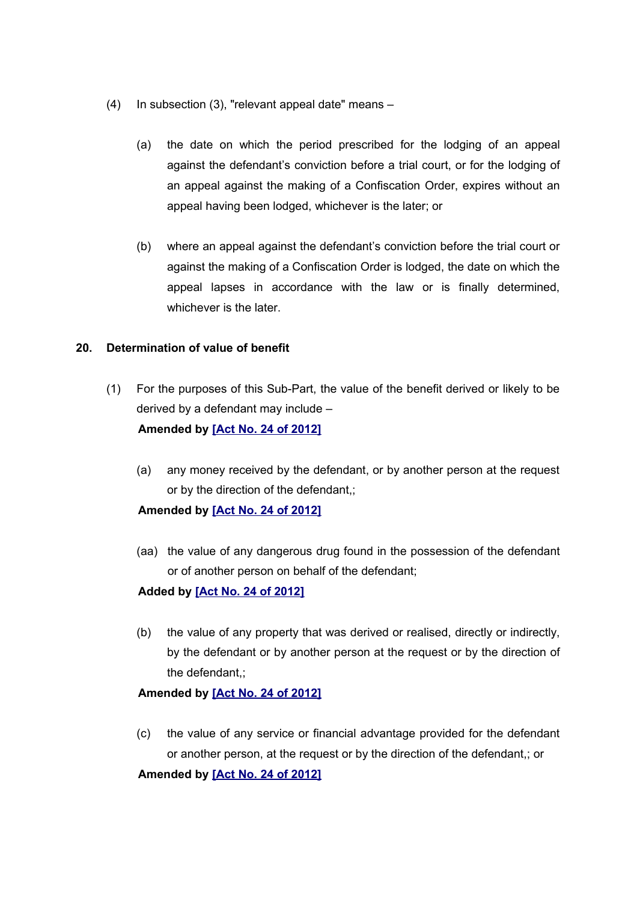- (4) In subsection (3), "relevant appeal date" means
	- (a) the date on which the period prescribed for the lodging of an appeal against the defendant's conviction before a trial court, or for the lodging of an appeal against the making of a Confiscation Order, expires without an appeal having been lodged, whichever is the later; or
	- (b) where an appeal against the defendant's conviction before the trial court or against the making of a Confiscation Order is lodged, the date on which the appeal lapses in accordance with the law or is finally determined, whichever is the later.

## **20. Determination of value of benefit**

- (1) For the purposes of this Sub-Part, the value of the benefit derived or likely to be derived by a defendant may include – **Amended by [\[Act No. 24 of 2012\]](http://www1.gov.mu/scourt/doc/showDoc.do?dk=Act%20No.%2024%20of%202012&dt=A)**
	- (a) any money received by the defendant, or by another person at the request or by the direction of the defendant,;

#### **Amended by [\[Act No. 24 of 2012\]](http://www1.gov.mu/scourt/doc/showDoc.do?dk=Act%20No.%2024%20of%202012&dt=A)**

(aa) the value of any dangerous drug found in the possession of the defendant or of another person on behalf of the defendant;

#### **Added by [\[Act No. 24 of 2012\]](http://www1.gov.mu/scourt/doc/showDoc.do?dk=Act%20No.%2024%20of%202012&dt=A)**

(b) the value of any property that was derived or realised, directly or indirectly, by the defendant or by another person at the request or by the direction of the defendant,;

## **Amended by [\[Act No. 24 of 2012\]](http://www1.gov.mu/scourt/doc/showDoc.do?dk=Act%20No.%2024%20of%202012&dt=A)**

(c) the value of any service or financial advantage provided for the defendant or another person, at the request or by the direction of the defendant,; or

# **Amended by [\[Act No. 24 of 2012\]](http://www1.gov.mu/scourt/doc/showDoc.do?dk=Act%20No.%2024%20of%202012&dt=A)**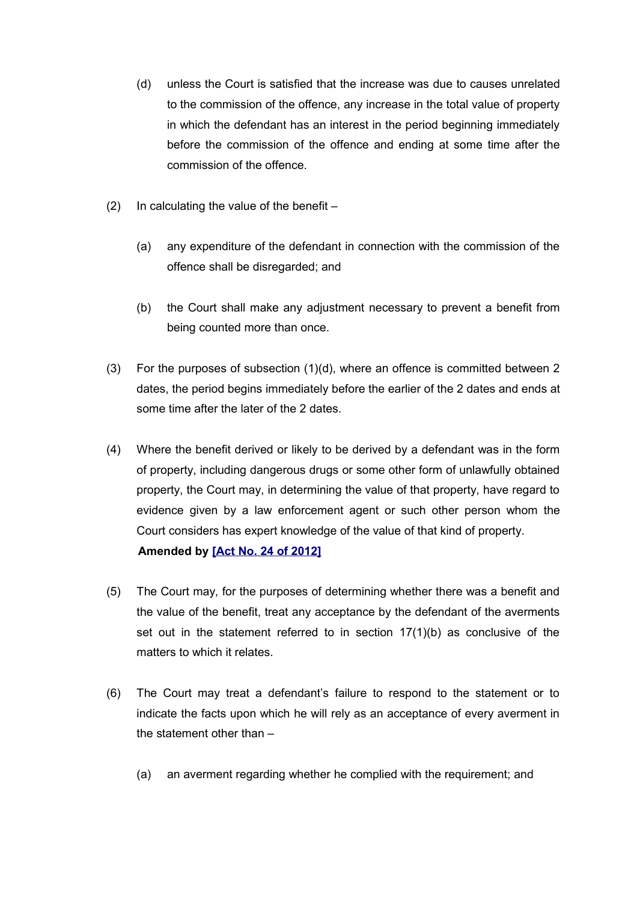- (d) unless the Court is satisfied that the increase was due to causes unrelated to the commission of the offence, any increase in the total value of property in which the defendant has an interest in the period beginning immediately before the commission of the offence and ending at some time after the commission of the offence.
- (2) In calculating the value of the benefit  $-$ 
	- (a) any expenditure of the defendant in connection with the commission of the offence shall be disregarded; and
	- (b) the Court shall make any adjustment necessary to prevent a benefit from being counted more than once.
- (3) For the purposes of subsection (1)(d), where an offence is committed between 2 dates, the period begins immediately before the earlier of the 2 dates and ends at some time after the later of the 2 dates.
- (4) Where the benefit derived or likely to be derived by a defendant was in the form of property, including dangerous drugs or some other form of unlawfully obtained property, the Court may, in determining the value of that property, have regard to evidence given by a law enforcement agent or such other person whom the Court considers has expert knowledge of the value of that kind of property. **Amended by [\[Act No. 24 of 2012\]](http://www1.gov.mu/scourt/doc/showDoc.do?dk=Act%20No.%2024%20of%202012&dt=A)**
- (5) The Court may, for the purposes of determining whether there was a benefit and the value of the benefit, treat any acceptance by the defendant of the averments set out in the statement referred to in section 17(1)(b) as conclusive of the matters to which it relates.
- (6) The Court may treat a defendant's failure to respond to the statement or to indicate the facts upon which he will rely as an acceptance of every averment in the statement other than –
	- (a) an averment regarding whether he complied with the requirement; and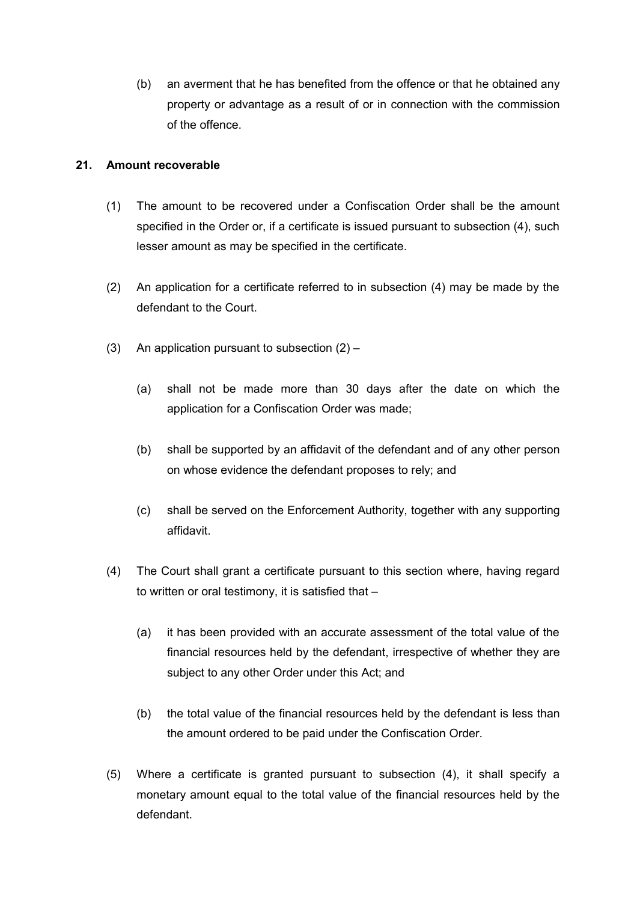(b) an averment that he has benefited from the offence or that he obtained any property or advantage as a result of or in connection with the commission of the offence.

## **21. Amount recoverable**

- (1) The amount to be recovered under a Confiscation Order shall be the amount specified in the Order or, if a certificate is issued pursuant to subsection (4), such lesser amount as may be specified in the certificate.
- (2) An application for a certificate referred to in subsection (4) may be made by the defendant to the Court.
- (3) An application pursuant to subsection  $(2)$ 
	- (a) shall not be made more than 30 days after the date on which the application for a Confiscation Order was made;
	- (b) shall be supported by an affidavit of the defendant and of any other person on whose evidence the defendant proposes to rely; and
	- (c) shall be served on the Enforcement Authority, together with any supporting affidavit.
- (4) The Court shall grant a certificate pursuant to this section where, having regard to written or oral testimony, it is satisfied that –
	- (a) it has been provided with an accurate assessment of the total value of the financial resources held by the defendant, irrespective of whether they are subject to any other Order under this Act; and
	- (b) the total value of the financial resources held by the defendant is less than the amount ordered to be paid under the Confiscation Order.
- (5) Where a certificate is granted pursuant to subsection (4), it shall specify a monetary amount equal to the total value of the financial resources held by the defendant.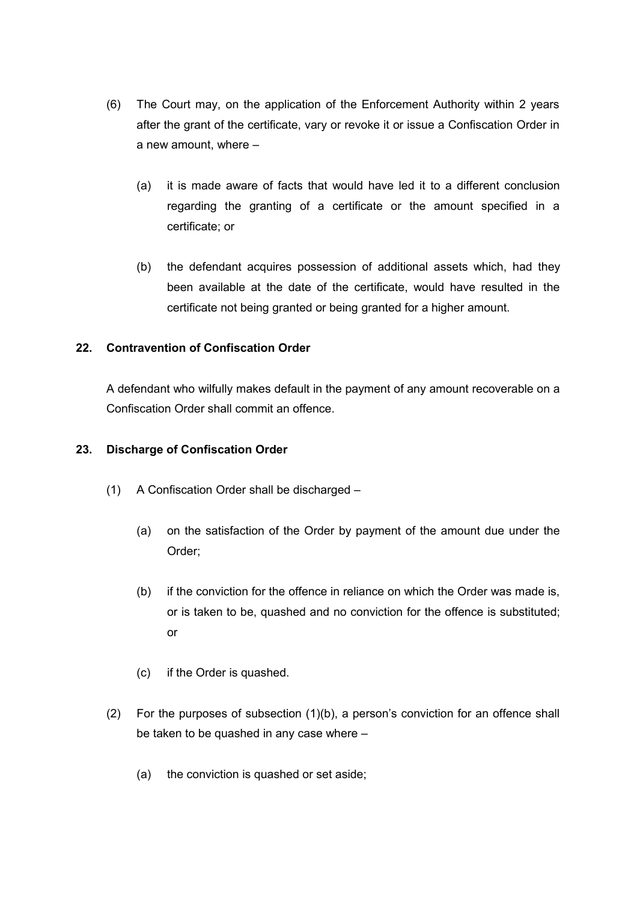- (6) The Court may, on the application of the Enforcement Authority within 2 years after the grant of the certificate, vary or revoke it or issue a Confiscation Order in a new amount, where –
	- (a) it is made aware of facts that would have led it to a different conclusion regarding the granting of a certificate or the amount specified in a certificate; or
	- (b) the defendant acquires possession of additional assets which, had they been available at the date of the certificate, would have resulted in the certificate not being granted or being granted for a higher amount.

# **22. Contravention of Confiscation Order**

A defendant who wilfully makes default in the payment of any amount recoverable on a Confiscation Order shall commit an offence.

## **23. Discharge of Confiscation Order**

- (1) A Confiscation Order shall be discharged
	- (a) on the satisfaction of the Order by payment of the amount due under the Order;
	- (b) if the conviction for the offence in reliance on which the Order was made is, or is taken to be, quashed and no conviction for the offence is substituted; or
	- (c) if the Order is quashed.
- (2) For the purposes of subsection (1)(b), a person's conviction for an offence shall be taken to be quashed in any case where –
	- (a) the conviction is quashed or set aside;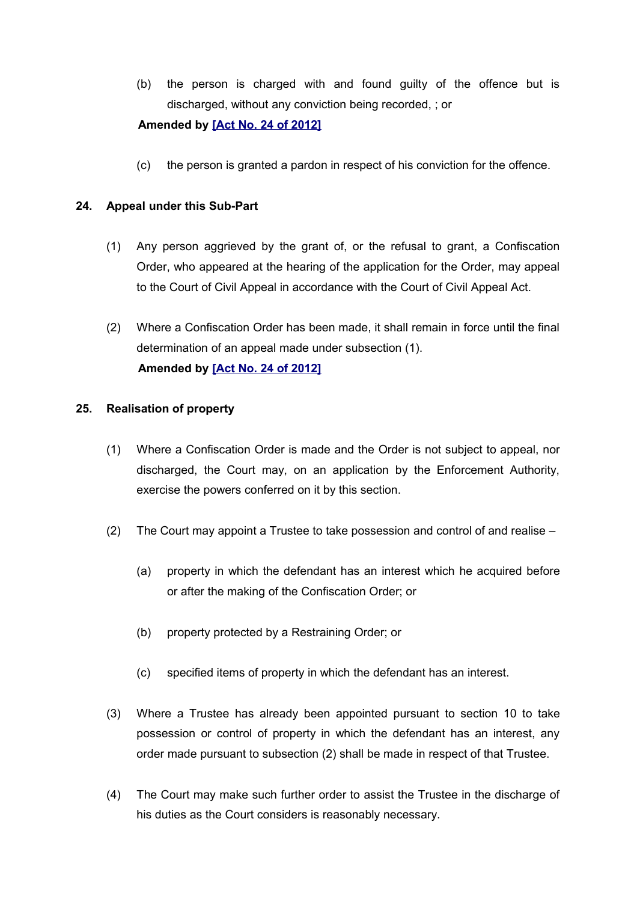(b) the person is charged with and found guilty of the offence but is discharged, without any conviction being recorded, ; or

## **Amended by [\[Act No. 24 of 2012\]](http://www1.gov.mu/scourt/doc/showDoc.do?dk=Act%20No.%2024%20of%202012&dt=A)**

(c) the person is granted a pardon in respect of his conviction for the offence.

## **24. Appeal under this Sub-Part**

- (1) Any person aggrieved by the grant of, or the refusal to grant, a Confiscation Order, who appeared at the hearing of the application for the Order, may appeal to the Court of Civil Appeal in accordance with the Court of Civil Appeal Act.
- (2) Where a Confiscation Order has been made, it shall remain in force until the final determination of an appeal made under subsection (1). **Amended by [\[Act No. 24 of 2012\]](http://www1.gov.mu/scourt/doc/showDoc.do?dk=Act%20No.%2024%20of%202012&dt=A)**

## **25. Realisation of property**

- (1) Where a Confiscation Order is made and the Order is not subject to appeal, nor discharged, the Court may, on an application by the Enforcement Authority, exercise the powers conferred on it by this section.
- (2) The Court may appoint a Trustee to take possession and control of and realise
	- (a) property in which the defendant has an interest which he acquired before or after the making of the Confiscation Order; or
	- (b) property protected by a Restraining Order; or
	- (c) specified items of property in which the defendant has an interest.
- (3) Where a Trustee has already been appointed pursuant to section 10 to take possession or control of property in which the defendant has an interest, any order made pursuant to subsection (2) shall be made in respect of that Trustee.
- (4) The Court may make such further order to assist the Trustee in the discharge of his duties as the Court considers is reasonably necessary.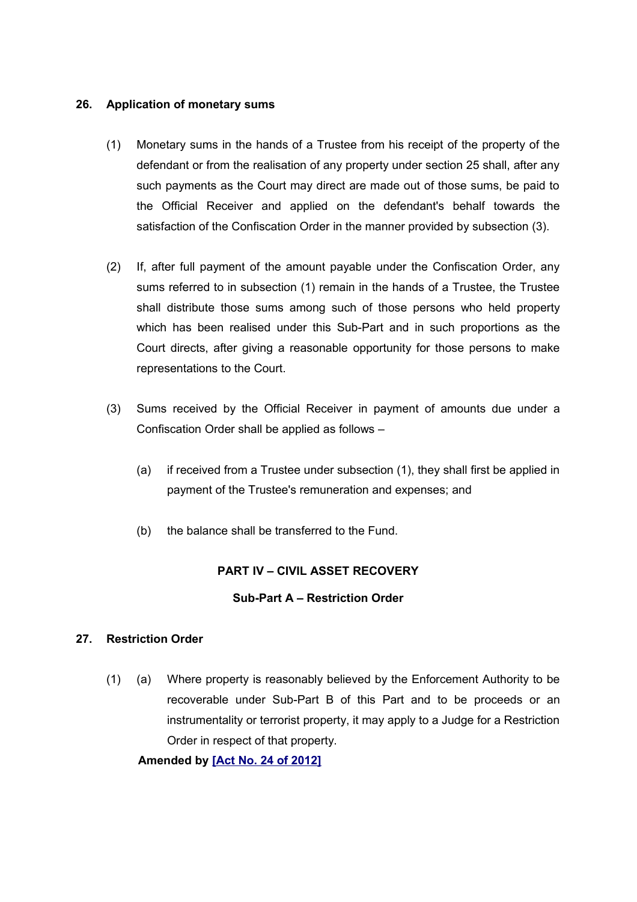## **26. Application of monetary sums**

- (1) Monetary sums in the hands of a Trustee from his receipt of the property of the defendant or from the realisation of any property under section 25 shall, after any such payments as the Court may direct are made out of those sums, be paid to the Official Receiver and applied on the defendant's behalf towards the satisfaction of the Confiscation Order in the manner provided by subsection (3).
- (2) If, after full payment of the amount payable under the Confiscation Order, any sums referred to in subsection (1) remain in the hands of a Trustee, the Trustee shall distribute those sums among such of those persons who held property which has been realised under this Sub-Part and in such proportions as the Court directs, after giving a reasonable opportunity for those persons to make representations to the Court.
- (3) Sums received by the Official Receiver in payment of amounts due under a Confiscation Order shall be applied as follows –
	- (a) if received from a Trustee under subsection (1), they shall first be applied in payment of the Trustee's remuneration and expenses; and
	- (b) the balance shall be transferred to the Fund.

# **PART IV – CIVIL ASSET RECOVERY**

## **Sub-Part A – Restriction Order**

# **27. Restriction Order**

(1) (a) Where property is reasonably believed by the Enforcement Authority to be recoverable under Sub-Part B of this Part and to be proceeds or an instrumentality or terrorist property, it may apply to a Judge for a Restriction Order in respect of that property.

**Amended by [\[Act No. 24 of 2012\]](http://www1.gov.mu/scourt/doc/showDoc.do?dk=Act%20No.%2024%20of%202012&dt=A)**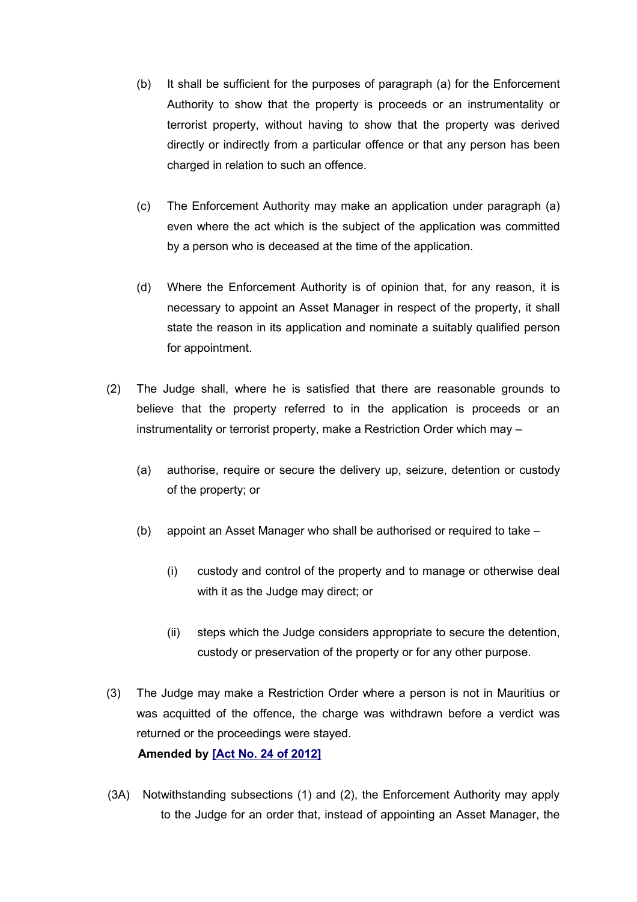- (b) It shall be sufficient for the purposes of paragraph (a) for the Enforcement Authority to show that the property is proceeds or an instrumentality or terrorist property, without having to show that the property was derived directly or indirectly from a particular offence or that any person has been charged in relation to such an offence.
- (c) The Enforcement Authority may make an application under paragraph (a) even where the act which is the subject of the application was committed by a person who is deceased at the time of the application.
- (d) Where the Enforcement Authority is of opinion that, for any reason, it is necessary to appoint an Asset Manager in respect of the property, it shall state the reason in its application and nominate a suitably qualified person for appointment.
- (2) The Judge shall, where he is satisfied that there are reasonable grounds to believe that the property referred to in the application is proceeds or an instrumentality or terrorist property, make a Restriction Order which may –
	- (a) authorise, require or secure the delivery up, seizure, detention or custody of the property; or
	- (b) appoint an Asset Manager who shall be authorised or required to take
		- (i) custody and control of the property and to manage or otherwise deal with it as the Judge may direct; or
		- (ii) steps which the Judge considers appropriate to secure the detention, custody or preservation of the property or for any other purpose.
- (3) The Judge may make a Restriction Order where a person is not in Mauritius or was acquitted of the offence, the charge was withdrawn before a verdict was returned or the proceedings were stayed. **Amended by [\[Act No. 24 of 2012\]](http://www1.gov.mu/scourt/doc/showDoc.do?dk=Act%20No.%2024%20of%202012&dt=A)**
- (3A) Notwithstanding subsections (1) and (2), the Enforcement Authority may apply to the Judge for an order that, instead of appointing an Asset Manager, the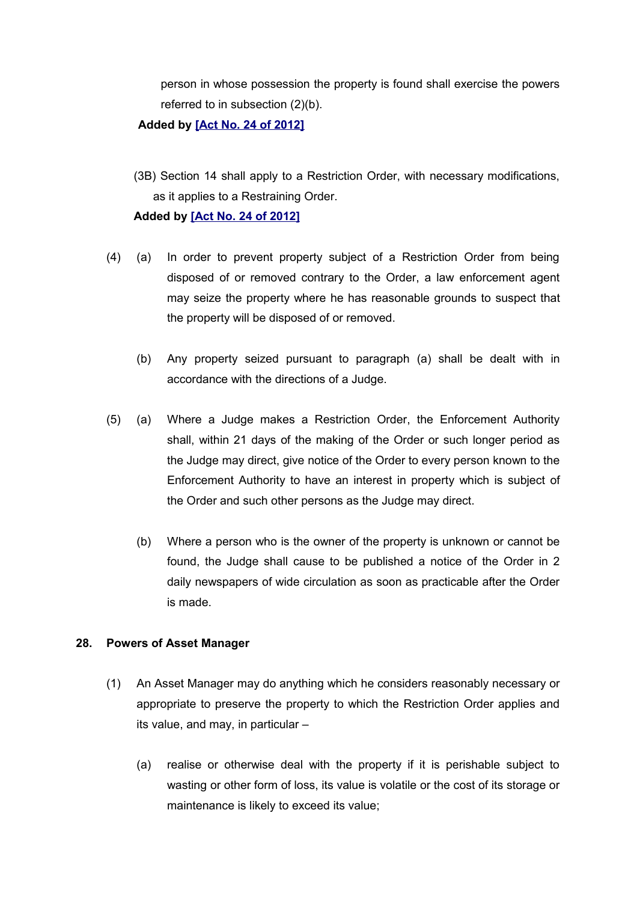person in whose possession the property is found shall exercise the powers referred to in subsection (2)(b).

#### **Added by [\[Act No. 24 of 2012\]](http://www1.gov.mu/scourt/doc/showDoc.do?dk=Act%20No.%2024%20of%202012&dt=A)**

(3B) Section 14 shall apply to a Restriction Order, with necessary modifications, as it applies to a Restraining Order.

#### **Added by [\[Act No. 24 of 2012\]](http://www1.gov.mu/scourt/doc/showDoc.do?dk=Act%20No.%2024%20of%202012&dt=A)**

- (4) (a) In order to prevent property subject of a Restriction Order from being disposed of or removed contrary to the Order, a law enforcement agent may seize the property where he has reasonable grounds to suspect that the property will be disposed of or removed.
	- (b) Any property seized pursuant to paragraph (a) shall be dealt with in accordance with the directions of a Judge.
- (5) (a) Where a Judge makes a Restriction Order, the Enforcement Authority shall, within 21 days of the making of the Order or such longer period as the Judge may direct, give notice of the Order to every person known to the Enforcement Authority to have an interest in property which is subject of the Order and such other persons as the Judge may direct.
	- (b) Where a person who is the owner of the property is unknown or cannot be found, the Judge shall cause to be published a notice of the Order in 2 daily newspapers of wide circulation as soon as practicable after the Order is made.

## **28. Powers of Asset Manager**

- (1) An Asset Manager may do anything which he considers reasonably necessary or appropriate to preserve the property to which the Restriction Order applies and its value, and may, in particular –
	- (a) realise or otherwise deal with the property if it is perishable subject to wasting or other form of loss, its value is volatile or the cost of its storage or maintenance is likely to exceed its value;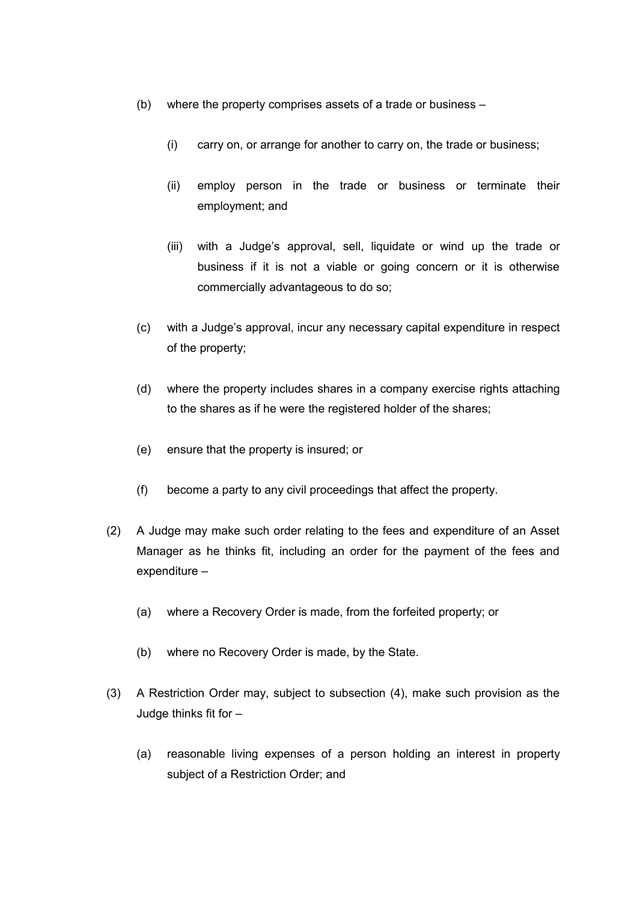- (b) where the property comprises assets of a trade or business
	- (i) carry on, or arrange for another to carry on, the trade or business;
	- (ii) employ person in the trade or business or terminate their employment; and
	- (iii) with a Judge's approval, sell, liquidate or wind up the trade or business if it is not a viable or going concern or it is otherwise commercially advantageous to do so;
- (c) with a Judge's approval, incur any necessary capital expenditure in respect of the property;
- (d) where the property includes shares in a company exercise rights attaching to the shares as if he were the registered holder of the shares;
- (e) ensure that the property is insured; or
- (f) become a party to any civil proceedings that affect the property.
- (2) A Judge may make such order relating to the fees and expenditure of an Asset Manager as he thinks fit, including an order for the payment of the fees and expenditure *–*
	- (a) where a Recovery Order is made, from the forfeited property; or
	- (b) where no Recovery Order is made, by the State.
- (3) A Restriction Order may, subject to subsection (4), make such provision as the Judge thinks fit for –
	- (a) reasonable living expenses of a person holding an interest in property subject of a Restriction Order; and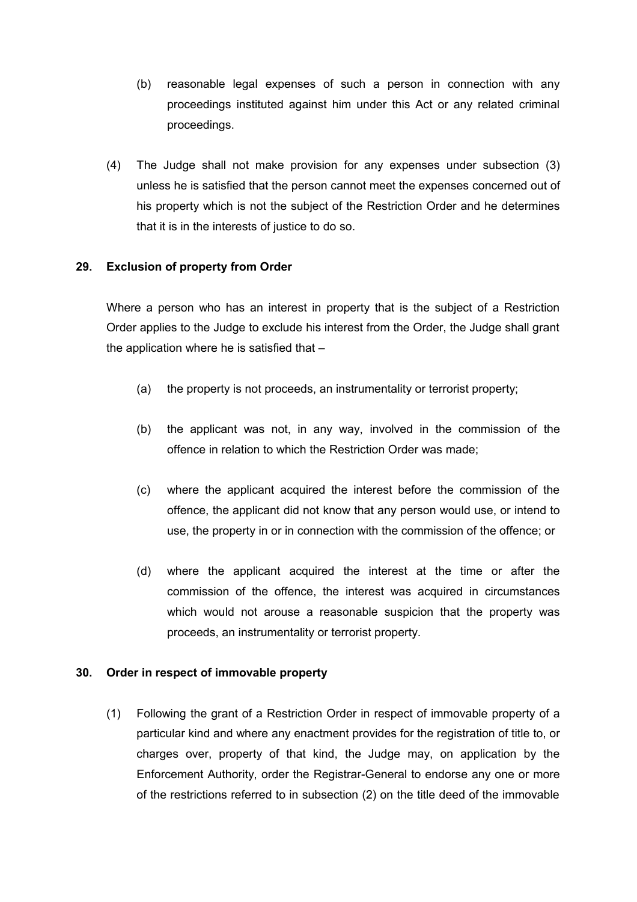- (b) reasonable legal expenses of such a person in connection with any proceedings instituted against him under this Act or any related criminal proceedings.
- (4) The Judge shall not make provision for any expenses under subsection (3) unless he is satisfied that the person cannot meet the expenses concerned out of his property which is not the subject of the Restriction Order and he determines that it is in the interests of justice to do so.

# **29. Exclusion of property from Order**

Where a person who has an interest in property that is the subject of a Restriction Order applies to the Judge to exclude his interest from the Order, the Judge shall grant the application where he is satisfied that  $-$ 

- (a) the property is not proceeds, an instrumentality or terrorist property;
- (b) the applicant was not, in any way, involved in the commission of the offence in relation to which the Restriction Order was made;
- (c) where the applicant acquired the interest before the commission of the offence, the applicant did not know that any person would use, or intend to use, the property in or in connection with the commission of the offence; or
- (d) where the applicant acquired the interest at the time or after the commission of the offence, the interest was acquired in circumstances which would not arouse a reasonable suspicion that the property was proceeds, an instrumentality or terrorist property.

## **30. Order in respect of immovable property**

(1) Following the grant of a Restriction Order in respect of immovable property of a particular kind and where any enactment provides for the registration of title to, or charges over, property of that kind, the Judge may, on application by the Enforcement Authority, order the Registrar-General to endorse any one or more of the restrictions referred to in subsection (2) on the title deed of the immovable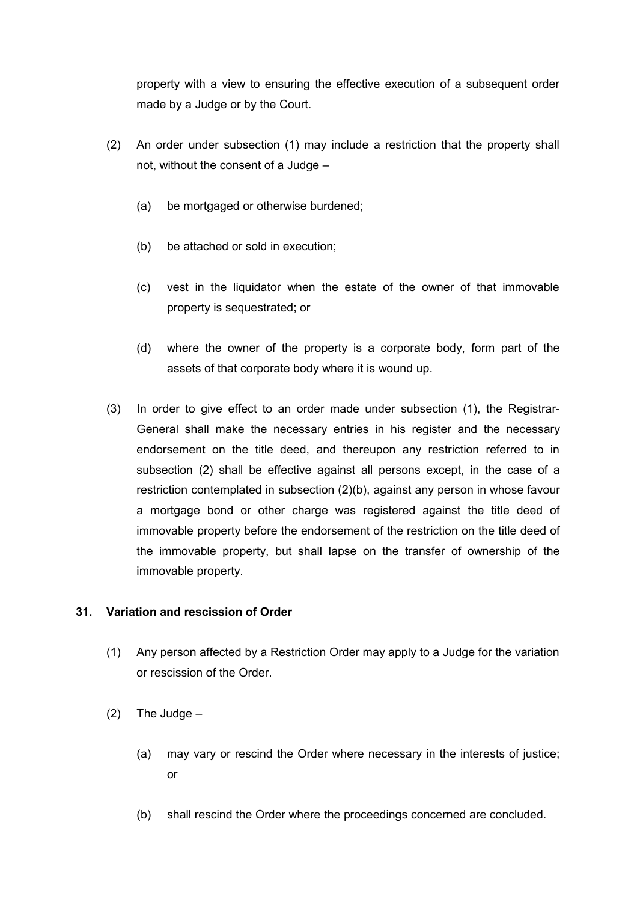property with a view to ensuring the effective execution of a subsequent order made by a Judge or by the Court.

- (2) An order under subsection (1) may include a restriction that the property shall not, without the consent of a Judge –
	- (a) be mortgaged or otherwise burdened;
	- (b) be attached or sold in execution;
	- (c) vest in the liquidator when the estate of the owner of that immovable property is sequestrated; or
	- (d) where the owner of the property is a corporate body, form part of the assets of that corporate body where it is wound up.
- (3) In order to give effect to an order made under subsection (1), the Registrar-General shall make the necessary entries in his register and the necessary endorsement on the title deed, and thereupon any restriction referred to in subsection (2) shall be effective against all persons except, in the case of a restriction contemplated in subsection (2)(b), against any person in whose favour a mortgage bond or other charge was registered against the title deed of immovable property before the endorsement of the restriction on the title deed of the immovable property, but shall lapse on the transfer of ownership of the immovable property.

## **31. Variation and rescission of Order**

- (1) Any person affected by a Restriction Order may apply to a Judge for the variation or rescission of the Order.
- $(2)$  The Judge
	- (a) may vary or rescind the Order where necessary in the interests of justice; or
	- (b) shall rescind the Order where the proceedings concerned are concluded.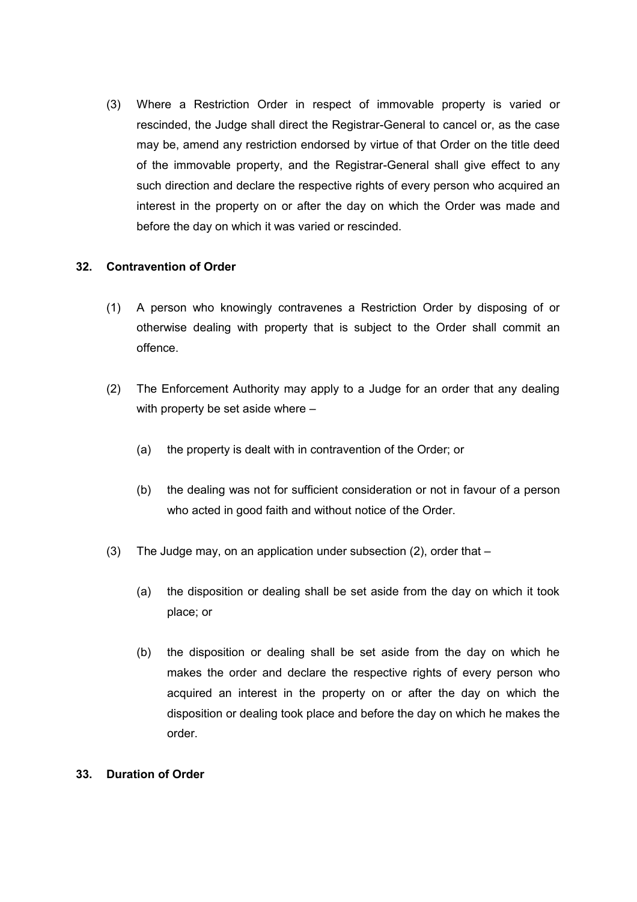(3) Where a Restriction Order in respect of immovable property is varied or rescinded, the Judge shall direct the Registrar-General to cancel or, as the case may be, amend any restriction endorsed by virtue of that Order on the title deed of the immovable property, and the Registrar-General shall give effect to any such direction and declare the respective rights of every person who acquired an interest in the property on or after the day on which the Order was made and before the day on which it was varied or rescinded.

## **32. Contravention of Order**

- (1) A person who knowingly contravenes a Restriction Order by disposing of or otherwise dealing with property that is subject to the Order shall commit an offence.
- (2) The Enforcement Authority may apply to a Judge for an order that any dealing with property be set aside where –
	- (a) the property is dealt with in contravention of the Order; or
	- (b) the dealing was not for sufficient consideration or not in favour of a person who acted in good faith and without notice of the Order.
- (3) The Judge may, on an application under subsection (2), order that
	- (a) the disposition or dealing shall be set aside from the day on which it took place; or
	- (b) the disposition or dealing shall be set aside from the day on which he makes the order and declare the respective rights of every person who acquired an interest in the property on or after the day on which the disposition or dealing took place and before the day on which he makes the order.

## **33. Duration of Order**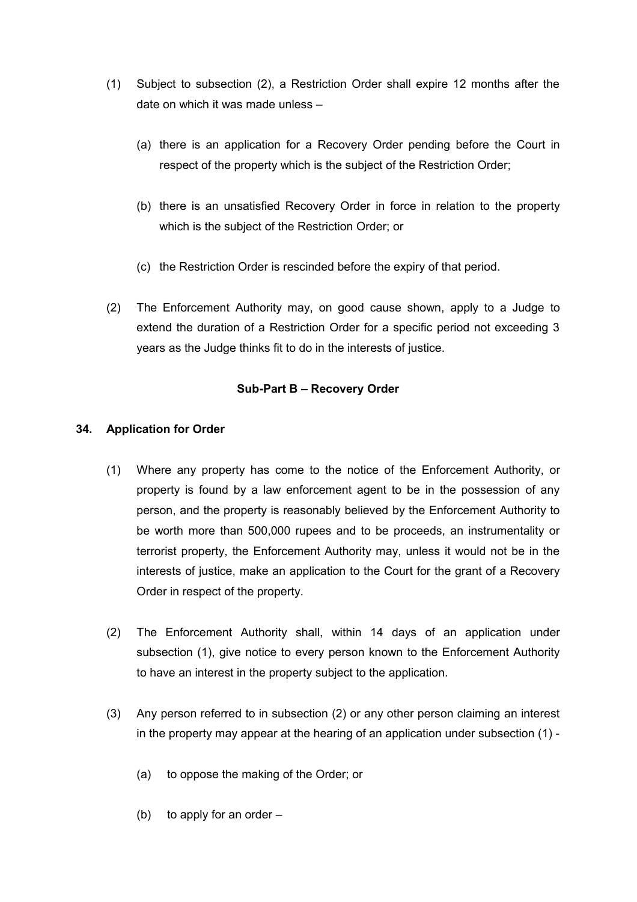- (1) Subject to subsection (2), a Restriction Order shall expire 12 months after the date on which it was made unless –
	- (a) there is an application for a Recovery Order pending before the Court in respect of the property which is the subject of the Restriction Order;
	- (b) there is an unsatisfied Recovery Order in force in relation to the property which is the subject of the Restriction Order; or
	- (c) the Restriction Order is rescinded before the expiry of that period.
- (2) The Enforcement Authority may, on good cause shown, apply to a Judge to extend the duration of a Restriction Order for a specific period not exceeding 3 years as the Judge thinks fit to do in the interests of justice.

## **Sub-Part B – Recovery Order**

## **34. Application for Order**

- (1) Where any property has come to the notice of the Enforcement Authority, or property is found by a law enforcement agent to be in the possession of any person, and the property is reasonably believed by the Enforcement Authority to be worth more than 500,000 rupees and to be proceeds, an instrumentality or terrorist property, the Enforcement Authority may, unless it would not be in the interests of justice, make an application to the Court for the grant of a Recovery Order in respect of the property.
- (2) The Enforcement Authority shall, within 14 days of an application under subsection (1), give notice to every person known to the Enforcement Authority to have an interest in the property subject to the application.
- (3) Any person referred to in subsection (2) or any other person claiming an interest in the property may appear at the hearing of an application under subsection (1) -
	- (a) to oppose the making of the Order; or
	- (b) to apply for an order –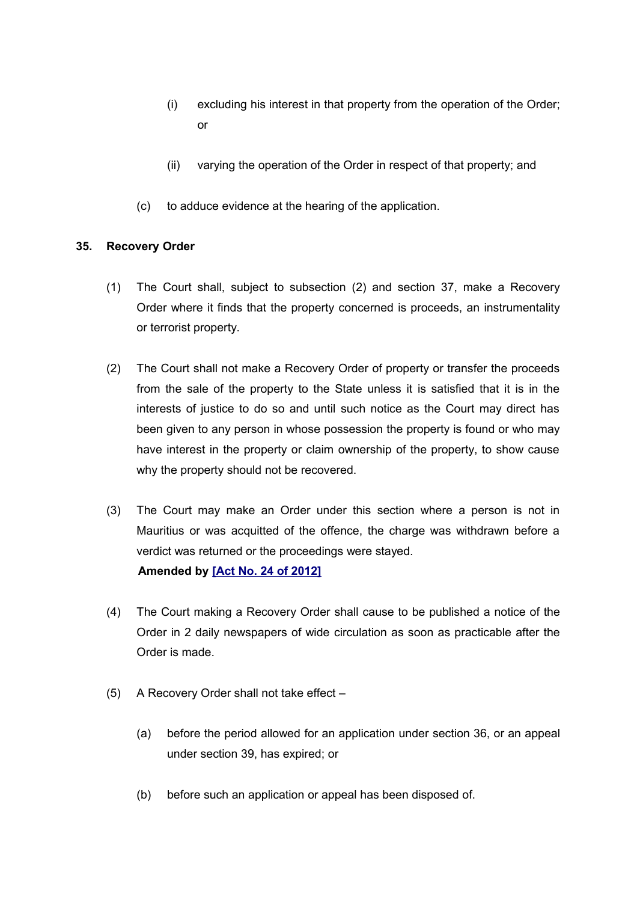- (i) excluding his interest in that property from the operation of the Order; or
- (ii) varying the operation of the Order in respect of that property; and
- (c) to adduce evidence at the hearing of the application.

# **35. Recovery Order**

- (1) The Court shall, subject to subsection (2) and section 37, make a Recovery Order where it finds that the property concerned is proceeds, an instrumentality or terrorist property.
- (2) The Court shall not make a Recovery Order of property or transfer the proceeds from the sale of the property to the State unless it is satisfied that it is in the interests of justice to do so and until such notice as the Court may direct has been given to any person in whose possession the property is found or who may have interest in the property or claim ownership of the property, to show cause why the property should not be recovered.
- (3) The Court may make an Order under this section where a person is not in Mauritius or was acquitted of the offence, the charge was withdrawn before a verdict was returned or the proceedings were stayed. **Amended by [\[Act No. 24 of 2012\]](http://www1.gov.mu/scourt/doc/showDoc.do?dk=Act%20No.%2024%20of%202012&dt=A)**
- (4) The Court making a Recovery Order shall cause to be published a notice of the Order in 2 daily newspapers of wide circulation as soon as practicable after the Order is made.
- (5) A Recovery Order shall not take effect
	- (a) before the period allowed for an application under section 36, or an appeal under section 39, has expired; or
	- (b) before such an application or appeal has been disposed of.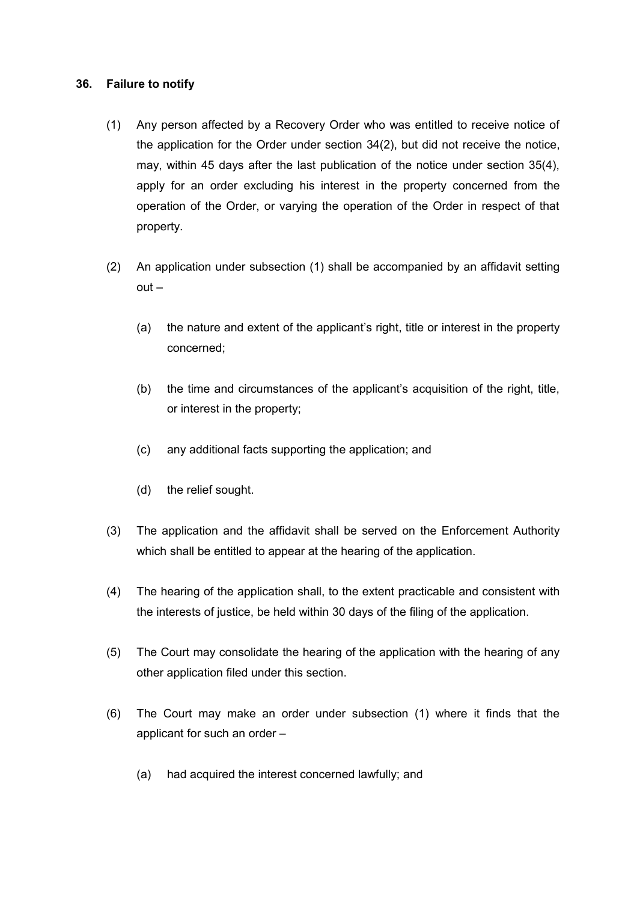## **36. Failure to notify**

- (1) Any person affected by a Recovery Order who was entitled to receive notice of the application for the Order under section 34(2), but did not receive the notice, may, within 45 days after the last publication of the notice under section 35(4), apply for an order excluding his interest in the property concerned from the operation of the Order, or varying the operation of the Order in respect of that property.
- (2) An application under subsection (1) shall be accompanied by an affidavit setting out –
	- (a) the nature and extent of the applicant's right, title or interest in the property concerned;
	- (b) the time and circumstances of the applicant's acquisition of the right, title, or interest in the property;
	- (c) any additional facts supporting the application; and
	- (d) the relief sought.
- (3) The application and the affidavit shall be served on the Enforcement Authority which shall be entitled to appear at the hearing of the application.
- (4) The hearing of the application shall, to the extent practicable and consistent with the interests of justice, be held within 30 days of the filing of the application.
- (5) The Court may consolidate the hearing of the application with the hearing of any other application filed under this section.
- (6) The Court may make an order under subsection (1) where it finds that the applicant for such an order –
	- (a) had acquired the interest concerned lawfully; and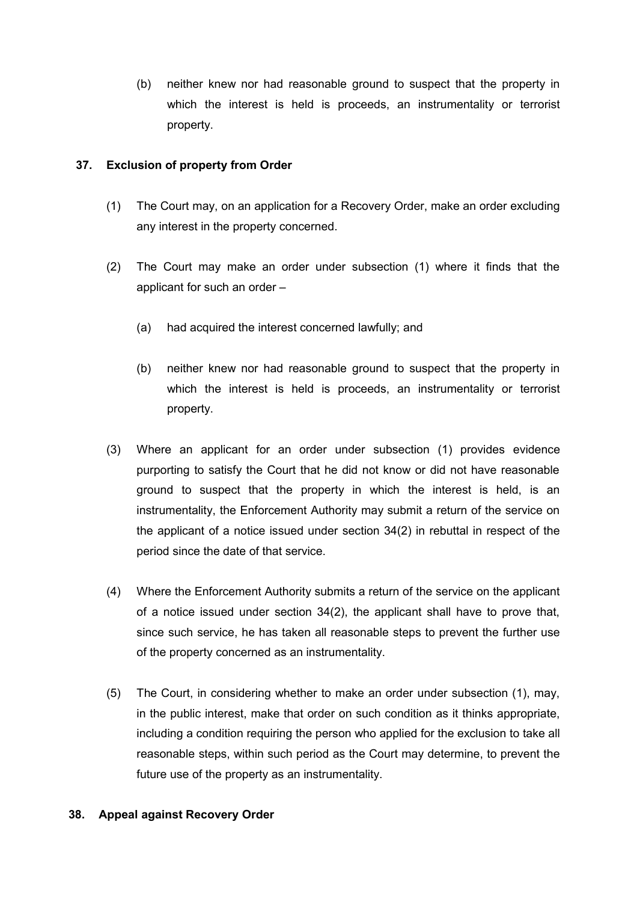(b) neither knew nor had reasonable ground to suspect that the property in which the interest is held is proceeds, an instrumentality or terrorist property.

# **37. Exclusion of property from Order**

- (1) The Court may, on an application for a Recovery Order, make an order excluding any interest in the property concerned.
- (2) The Court may make an order under subsection (1) where it finds that the applicant for such an order –
	- (a) had acquired the interest concerned lawfully; and
	- (b) neither knew nor had reasonable ground to suspect that the property in which the interest is held is proceeds, an instrumentality or terrorist property.
- (3) Where an applicant for an order under subsection (1) provides evidence purporting to satisfy the Court that he did not know or did not have reasonable ground to suspect that the property in which the interest is held, is an instrumentality, the Enforcement Authority may submit a return of the service on the applicant of a notice issued under section 34(2) in rebuttal in respect of the period since the date of that service.
- (4) Where the Enforcement Authority submits a return of the service on the applicant of a notice issued under section 34(2), the applicant shall have to prove that, since such service, he has taken all reasonable steps to prevent the further use of the property concerned as an instrumentality.
- (5) The Court, in considering whether to make an order under subsection (1), may, in the public interest, make that order on such condition as it thinks appropriate, including a condition requiring the person who applied for the exclusion to take all reasonable steps, within such period as the Court may determine, to prevent the future use of the property as an instrumentality.

## **38. Appeal against Recovery Order**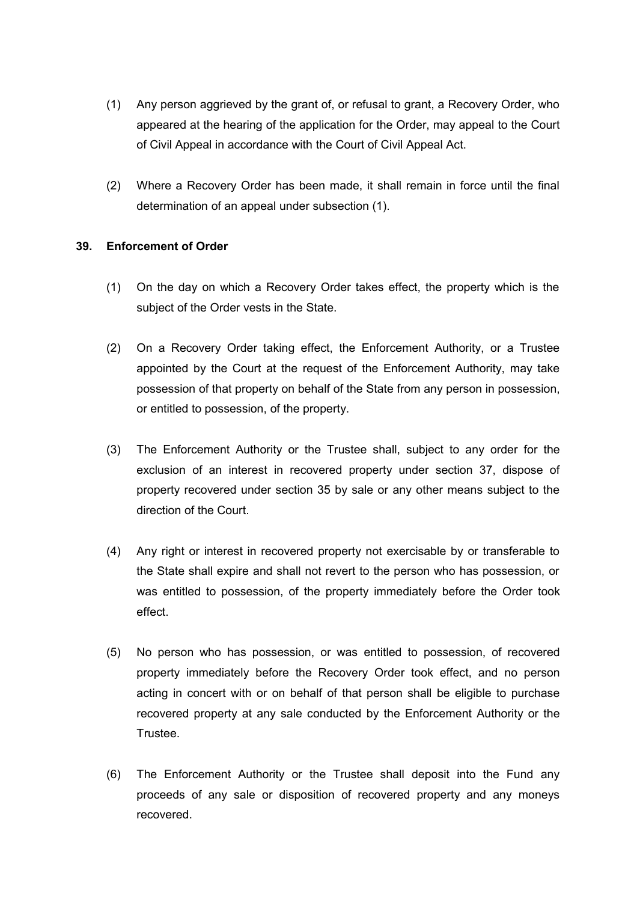- (1) Any person aggrieved by the grant of, or refusal to grant, a Recovery Order, who appeared at the hearing of the application for the Order, may appeal to the Court of Civil Appeal in accordance with the Court of Civil Appeal Act.
- (2) Where a Recovery Order has been made, it shall remain in force until the final determination of an appeal under subsection (1).

## **39. Enforcement of Order**

- (1) On the day on which a Recovery Order takes effect, the property which is the subject of the Order vests in the State.
- (2) On a Recovery Order taking effect, the Enforcement Authority, or a Trustee appointed by the Court at the request of the Enforcement Authority, may take possession of that property on behalf of the State from any person in possession, or entitled to possession, of the property.
- (3) The Enforcement Authority or the Trustee shall, subject to any order for the exclusion of an interest in recovered property under section 37, dispose of property recovered under section 35 by sale or any other means subject to the direction of the Court.
- (4) Any right or interest in recovered property not exercisable by or transferable to the State shall expire and shall not revert to the person who has possession, or was entitled to possession, of the property immediately before the Order took effect.
- (5) No person who has possession, or was entitled to possession, of recovered property immediately before the Recovery Order took effect, and no person acting in concert with or on behalf of that person shall be eligible to purchase recovered property at any sale conducted by the Enforcement Authority or the Trustee.
- (6) The Enforcement Authority or the Trustee shall deposit into the Fund any proceeds of any sale or disposition of recovered property and any moneys recovered.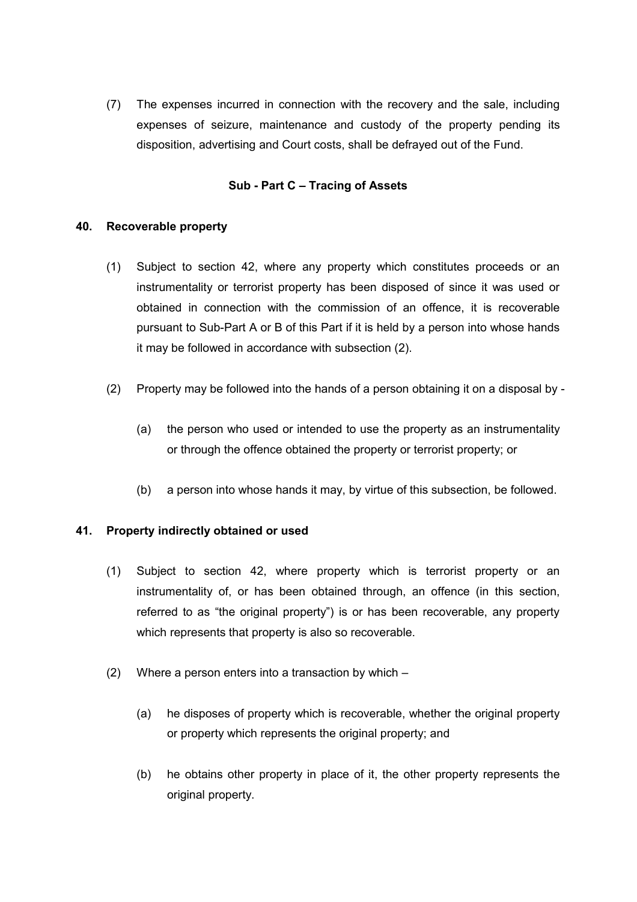(7) The expenses incurred in connection with the recovery and the sale, including expenses of seizure, maintenance and custody of the property pending its disposition, advertising and Court costs, shall be defrayed out of the Fund.

## **Sub - Part C – Tracing of Assets**

## **40. Recoverable property**

- (1) Subject to section 42, where any property which constitutes proceeds or an instrumentality or terrorist property has been disposed of since it was used or obtained in connection with the commission of an offence, it is recoverable pursuant to Sub-Part A or B of this Part if it is held by a person into whose hands it may be followed in accordance with subsection (2).
- (2) Property may be followed into the hands of a person obtaining it on a disposal by
	- (a) the person who used or intended to use the property as an instrumentality or through the offence obtained the property or terrorist property; or
	- (b) a person into whose hands it may, by virtue of this subsection, be followed.

## **41. Property indirectly obtained or used**

- (1) Subject to section 42, where property which is terrorist property or an instrumentality of, or has been obtained through, an offence (in this section, referred to as "the original property") is or has been recoverable, any property which represents that property is also so recoverable.
- (2) Where a person enters into a transaction by which
	- (a) he disposes of property which is recoverable, whether the original property or property which represents the original property; and
	- (b) he obtains other property in place of it, the other property represents the original property.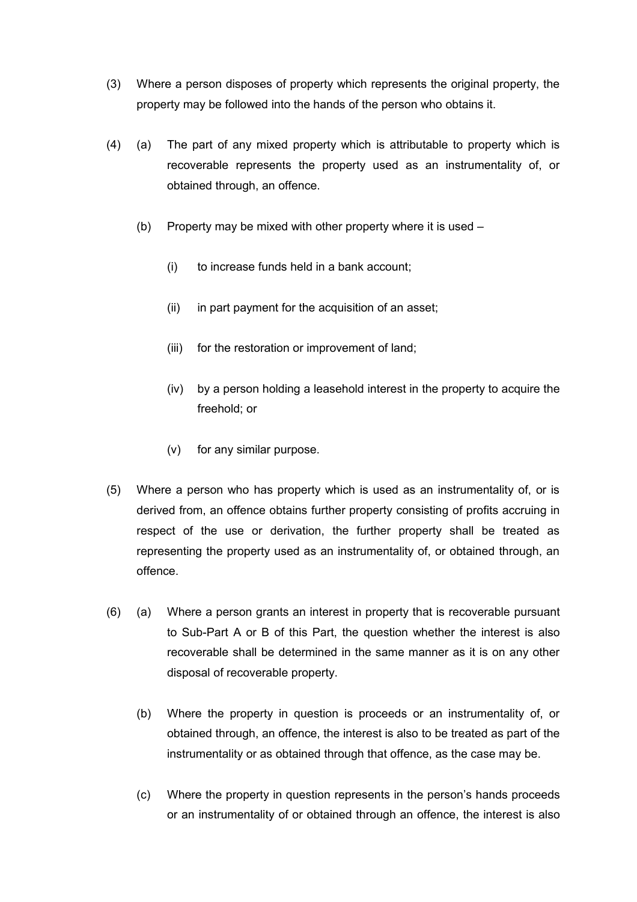- (3) Where a person disposes of property which represents the original property, the property may be followed into the hands of the person who obtains it.
- (4) (a) The part of any mixed property which is attributable to property which is recoverable represents the property used as an instrumentality of, or obtained through, an offence.
	- (b) Property may be mixed with other property where it is used
		- (i) to increase funds held in a bank account;
		- (ii) in part payment for the acquisition of an asset;
		- (iii) for the restoration or improvement of land;
		- (iv) by a person holding a leasehold interest in the property to acquire the freehold; or
		- (v) for any similar purpose.
- (5) Where a person who has property which is used as an instrumentality of, or is derived from, an offence obtains further property consisting of profits accruing in respect of the use or derivation, the further property shall be treated as representing the property used as an instrumentality of, or obtained through, an offence.
- (6) (a) Where a person grants an interest in property that is recoverable pursuant to Sub-Part A or B of this Part, the question whether the interest is also recoverable shall be determined in the same manner as it is on any other disposal of recoverable property.
	- (b) Where the property in question is proceeds or an instrumentality of, or obtained through, an offence, the interest is also to be treated as part of the instrumentality or as obtained through that offence, as the case may be.
	- (c) Where the property in question represents in the person's hands proceeds or an instrumentality of or obtained through an offence, the interest is also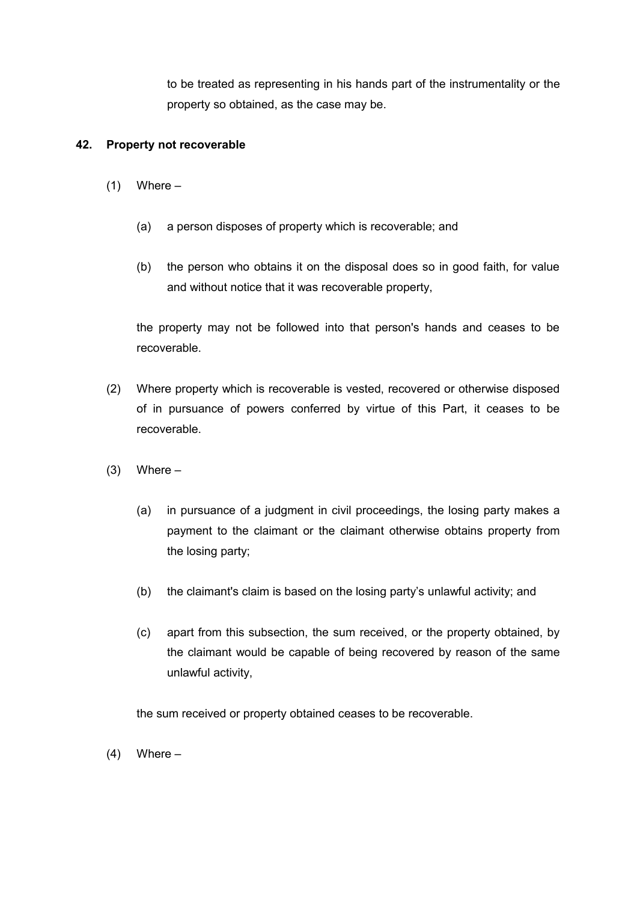to be treated as representing in his hands part of the instrumentality or the property so obtained, as the case may be.

## **42. Property not recoverable**

- $(1)$  Where
	- (a) a person disposes of property which is recoverable; and
	- (b) the person who obtains it on the disposal does so in good faith, for value and without notice that it was recoverable property,

the property may not be followed into that person's hands and ceases to be recoverable.

- (2) Where property which is recoverable is vested, recovered or otherwise disposed of in pursuance of powers conferred by virtue of this Part, it ceases to be recoverable.
- $(3)$  Where
	- (a) in pursuance of a judgment in civil proceedings, the losing party makes a payment to the claimant or the claimant otherwise obtains property from the losing party;
	- (b) the claimant's claim is based on the losing party's unlawful activity; and
	- (c) apart from this subsection, the sum received, or the property obtained, by the claimant would be capable of being recovered by reason of the same unlawful activity,

the sum received or property obtained ceases to be recoverable.

 $(4)$  Where –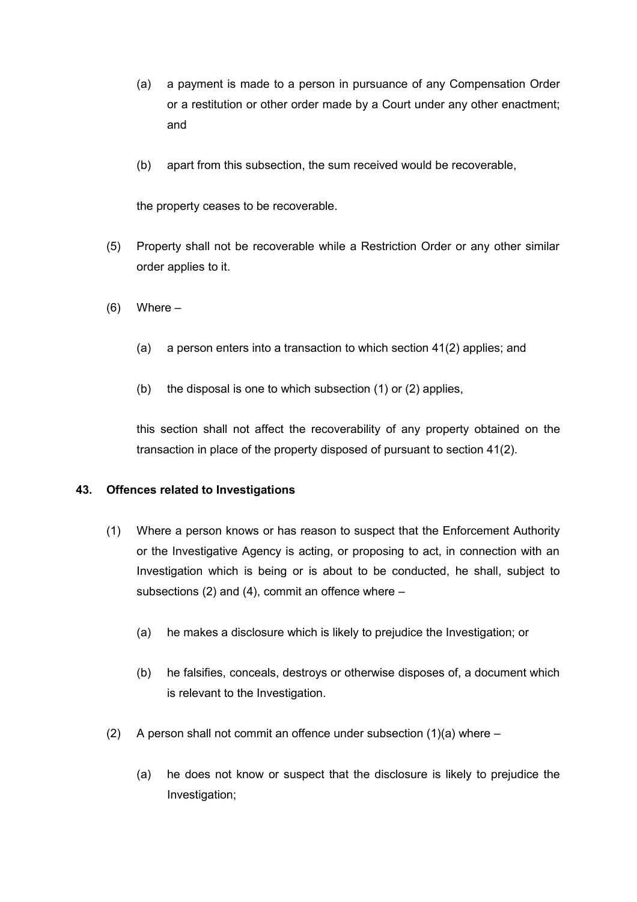- (a) a payment is made to a person in pursuance of any Compensation Order or a restitution or other order made by a Court under any other enactment; and
- (b) apart from this subsection, the sum received would be recoverable,

the property ceases to be recoverable.

- (5) Property shall not be recoverable while a Restriction Order or any other similar order applies to it.
- $(6)$  Where
	- (a) a person enters into a transaction to which section 41(2) applies; and
	- (b) the disposal is one to which subsection (1) or (2) applies,

this section shall not affect the recoverability of any property obtained on the transaction in place of the property disposed of pursuant to section 41(2).

## **43. Offences related to Investigations**

- (1) Where a person knows or has reason to suspect that the Enforcement Authority or the Investigative Agency is acting, or proposing to act, in connection with an Investigation which is being or is about to be conducted, he shall, subject to subsections (2) and (4), commit an offence where –
	- (a) he makes a disclosure which is likely to prejudice the Investigation; or
	- (b) he falsifies, conceals, destroys or otherwise disposes of, a document which is relevant to the Investigation.
- (2) A person shall not commit an offence under subsection (1)(a) where
	- (a) he does not know or suspect that the disclosure is likely to prejudice the Investigation;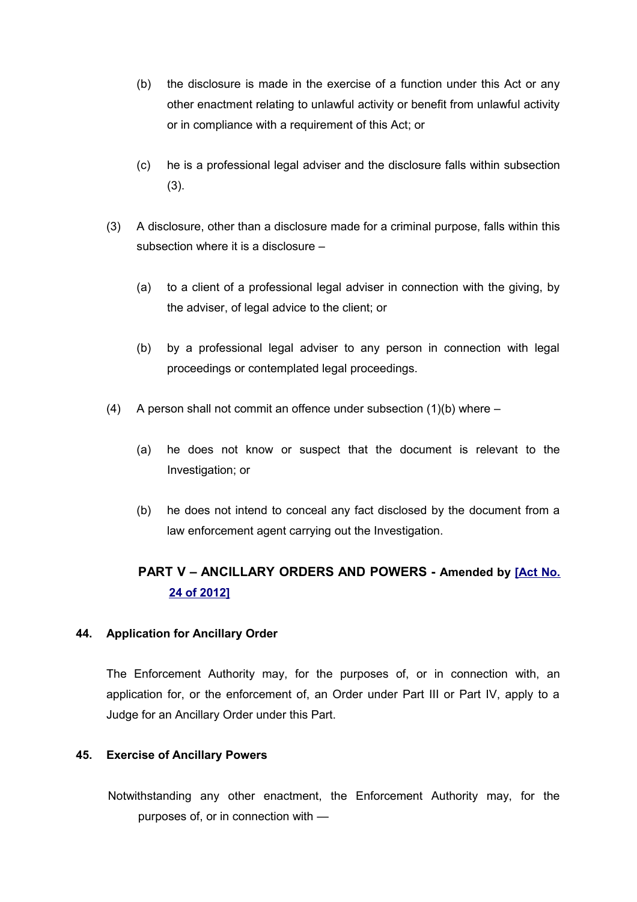- (b) the disclosure is made in the exercise of a function under this Act or any other enactment relating to unlawful activity or benefit from unlawful activity or in compliance with a requirement of this Act; or
- (c) he is a professional legal adviser and the disclosure falls within subsection (3).
- (3) A disclosure, other than a disclosure made for a criminal purpose, falls within this subsection where it is a disclosure –
	- (a) to a client of a professional legal adviser in connection with the giving, by the adviser, of legal advice to the client; or
	- (b) by a professional legal adviser to any person in connection with legal proceedings or contemplated legal proceedings.
- (4) A person shall not commit an offence under subsection  $(1)(b)$  where
	- (a) he does not know or suspect that the document is relevant to the Investigation; or
	- (b) he does not intend to conceal any fact disclosed by the document from a law enforcement agent carrying out the Investigation.

# **PART V – ANCILLARY ORDERS AND POWERS - Amended by [\[Act No.](http://www1.gov.mu/scourt/doc/showDoc.do?dk=Act%20No.%2024%20of%202012&dt=A) [24 of 2012\]](http://www1.gov.mu/scourt/doc/showDoc.do?dk=Act%20No.%2024%20of%202012&dt=A)**

## **44. Application for Ancillary Order**

The Enforcement Authority may, for the purposes of, or in connection with, an application for, or the enforcement of, an Order under Part III or Part IV, apply to a Judge for an Ancillary Order under this Part.

## **45. Exercise of Ancillary Powers**

Notwithstanding any other enactment, the Enforcement Authority may, for the purposes of, or in connection with —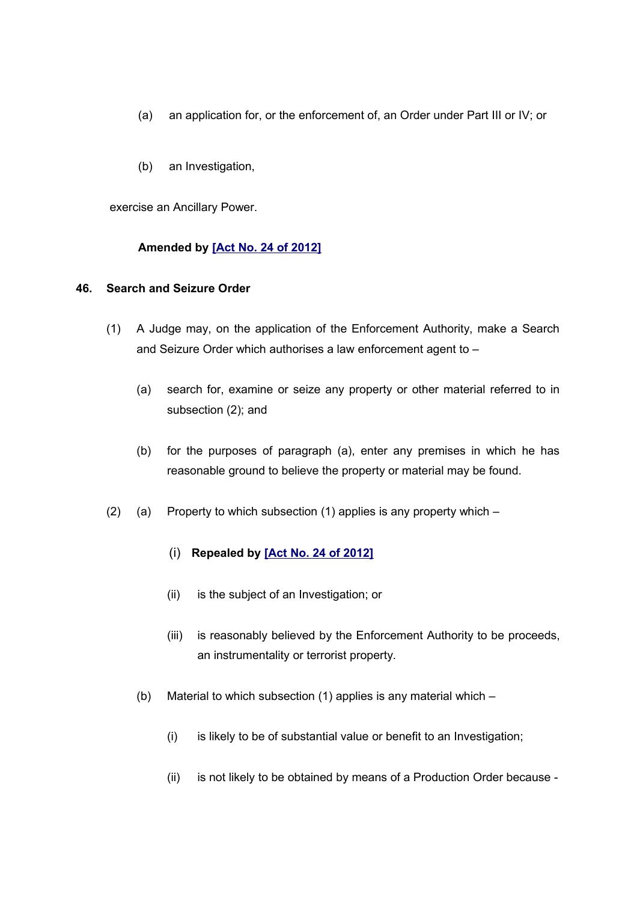- (a) an application for, or the enforcement of, an Order under Part III or IV; or
- (b) an Investigation,

exercise an Ancillary Power.

## **Amended by [\[Act No. 24 of 2012\]](http://www1.gov.mu/scourt/doc/showDoc.do?dk=Act%20No.%2024%20of%202012&dt=A)**

## **46. Search and Seizure Order**

- (1) A Judge may, on the application of the Enforcement Authority, make a Search and Seizure Order which authorises a law enforcement agent to –
	- (a) search for, examine or seize any property or other material referred to in subsection (2); and
	- (b) for the purposes of paragraph (a), enter any premises in which he has reasonable ground to believe the property or material may be found.
- (2) (a) Property to which subsection (1) applies is any property which –

## (i) **Repealed by [\[Act No. 24 of 2012\]](http://www1.gov.mu/scourt/doc/showDoc.do?dk=Act%20No.%2024%20of%202012&dt=A)**

- (ii) is the subject of an Investigation; or
- (iii) is reasonably believed by the Enforcement Authority to be proceeds, an instrumentality or terrorist property.
- (b) Material to which subsection (1) applies is any material which
	- (i) is likely to be of substantial value or benefit to an Investigation;
	- (ii) is not likely to be obtained by means of a Production Order because -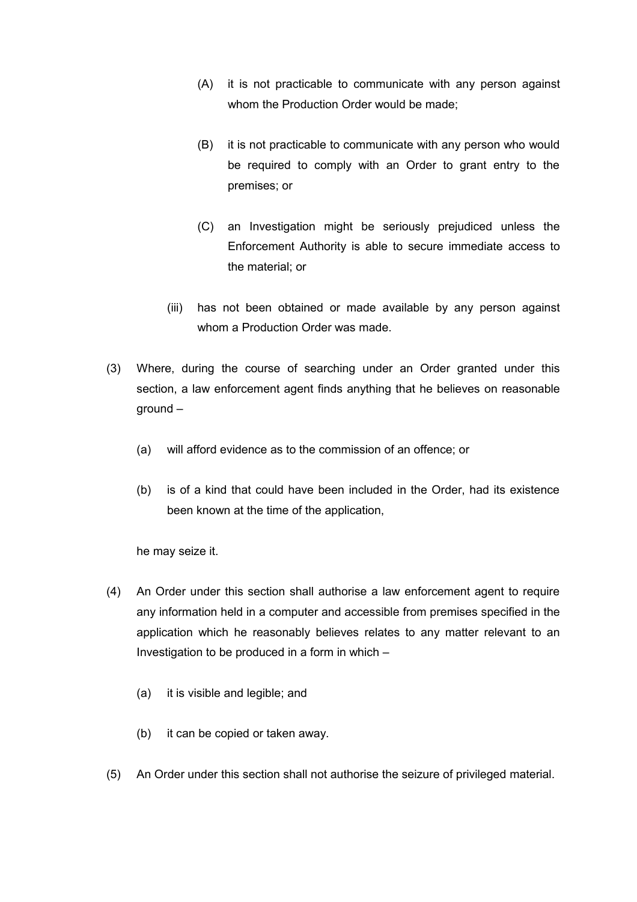- (A) it is not practicable to communicate with any person against whom the Production Order would be made;
- (B) it is not practicable to communicate with any person who would be required to comply with an Order to grant entry to the premises; or
- (C) an Investigation might be seriously prejudiced unless the Enforcement Authority is able to secure immediate access to the material; or
- (iii) has not been obtained or made available by any person against whom a Production Order was made.
- (3) Where, during the course of searching under an Order granted under this section, a law enforcement agent finds anything that he believes on reasonable ground –
	- (a) will afford evidence as to the commission of an offence; or
	- (b) is of a kind that could have been included in the Order, had its existence been known at the time of the application,

he may seize it.

- (4) An Order under this section shall authorise a law enforcement agent to require any information held in a computer and accessible from premises specified in the application which he reasonably believes relates to any matter relevant to an Investigation to be produced in a form in which  $-$ 
	- (a) it is visible and legible; and
	- (b) it can be copied or taken away.
- (5) An Order under this section shall not authorise the seizure of privileged material.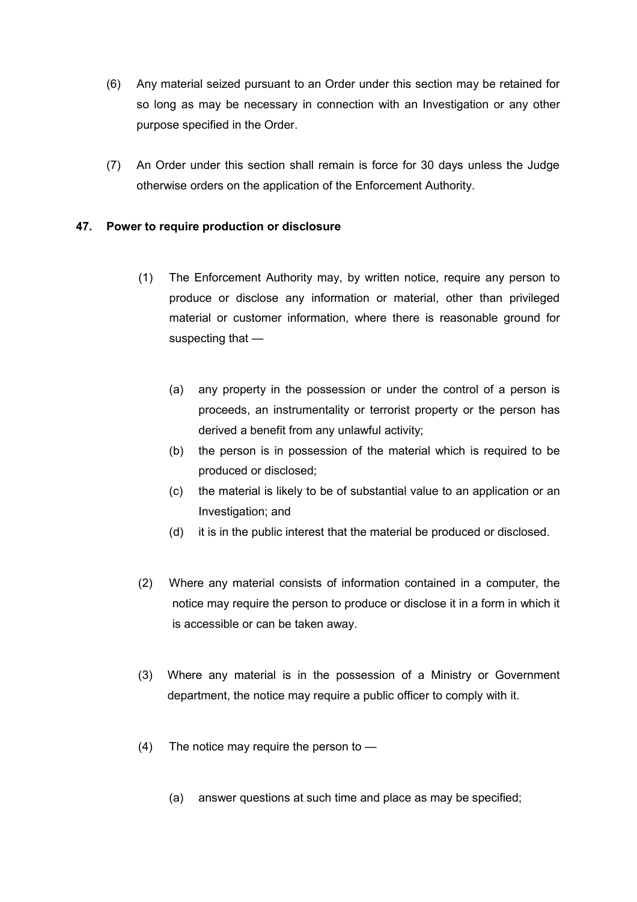- (6) Any material seized pursuant to an Order under this section may be retained for so long as may be necessary in connection with an Investigation or any other purpose specified in the Order.
- (7) An Order under this section shall remain is force for 30 days unless the Judge otherwise orders on the application of the Enforcement Authority.

## **47. Power to require production or disclosure**

- (1) The Enforcement Authority may, by written notice, require any person to produce or disclose any information or material, other than privileged material or customer information, where there is reasonable ground for suspecting that —
	- (a) any property in the possession or under the control of a person is proceeds, an instrumentality or terrorist property or the person has derived a benefit from any unlawful activity;
	- (b) the person is in possession of the material which is required to be produced or disclosed;
	- (c) the material is likely to be of substantial value to an application or an Investigation; and
	- (d) it is in the public interest that the material be produced or disclosed.
- (2) Where any material consists of information contained in a computer, the notice may require the person to produce or disclose it in a form in which it is accessible or can be taken away.
- (3) Where any material is in the possession of a Ministry or Government department, the notice may require a public officer to comply with it.
- (4) The notice may require the person to
	- (a) answer questions at such time and place as may be specified;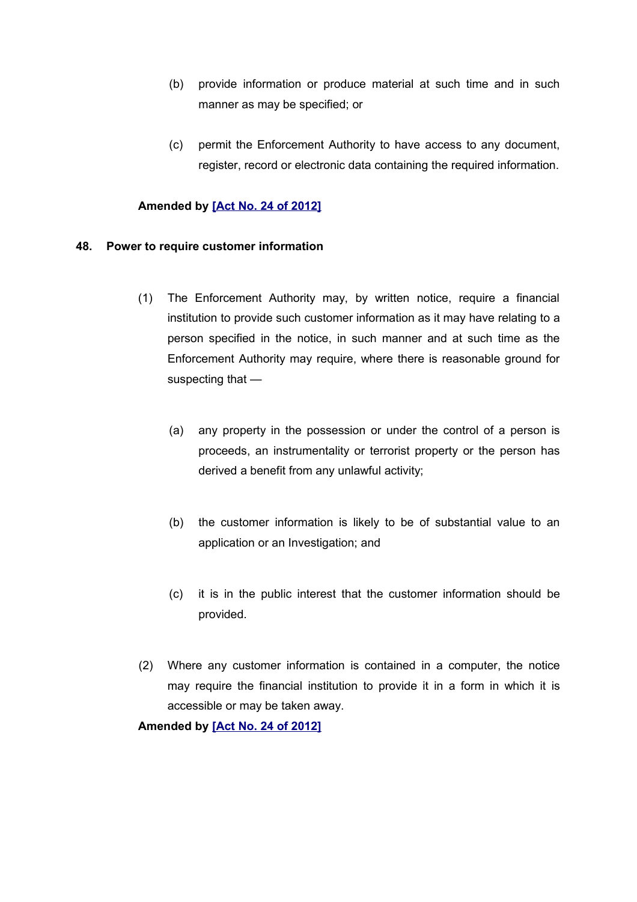- (b) provide information or produce material at such time and in such manner as may be specified; or
- (c) permit the Enforcement Authority to have access to any document, register, record or electronic data containing the required information.

#### **Amended by [\[Act No. 24 of 2012\]](http://www1.gov.mu/scourt/doc/showDoc.do?dk=Act%20No.%2024%20of%202012&dt=A)**

#### **48. Power to require customer information**

- (1) The Enforcement Authority may, by written notice, require a financial institution to provide such customer information as it may have relating to a person specified in the notice, in such manner and at such time as the Enforcement Authority may require, where there is reasonable ground for suspecting that —
	- (a) any property in the possession or under the control of a person is proceeds, an instrumentality or terrorist property or the person has derived a benefit from any unlawful activity;
	- (b) the customer information is likely to be of substantial value to an application or an Investigation; and
	- (c) it is in the public interest that the customer information should be provided.
- (2) Where any customer information is contained in a computer, the notice may require the financial institution to provide it in a form in which it is accessible or may be taken away.

**Amended by [\[Act No. 24 of 2012\]](http://www1.gov.mu/scourt/doc/showDoc.do?dk=Act%20No.%2024%20of%202012&dt=A)**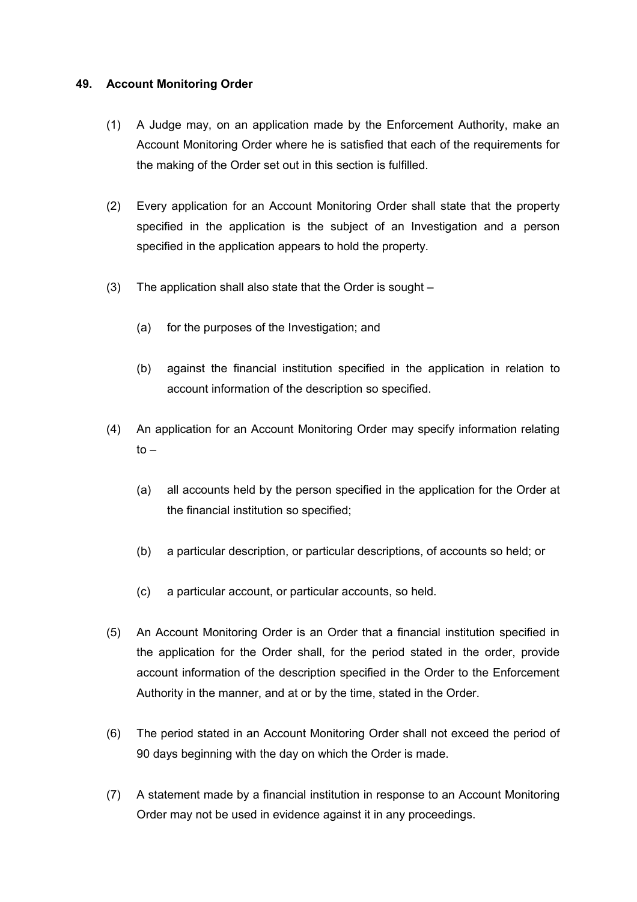## **49. Account Monitoring Order**

- (1) A Judge may, on an application made by the Enforcement Authority, make an Account Monitoring Order where he is satisfied that each of the requirements for the making of the Order set out in this section is fulfilled.
- (2) Every application for an Account Monitoring Order shall state that the property specified in the application is the subject of an Investigation and a person specified in the application appears to hold the property.
- (3) The application shall also state that the Order is sought
	- (a) for the purposes of the Investigation; and
	- (b) against the financial institution specified in the application in relation to account information of the description so specified.
- (4) An application for an Account Monitoring Order may specify information relating  $to -$ 
	- (a) all accounts held by the person specified in the application for the Order at the financial institution so specified;
	- (b) a particular description, or particular descriptions, of accounts so held; or
	- (c) a particular account, or particular accounts, so held.
- (5) An Account Monitoring Order is an Order that a financial institution specified in the application for the Order shall, for the period stated in the order, provide account information of the description specified in the Order to the Enforcement Authority in the manner, and at or by the time, stated in the Order.
- (6) The period stated in an Account Monitoring Order shall not exceed the period of 90 days beginning with the day on which the Order is made.
- (7) A statement made by a financial institution in response to an Account Monitoring Order may not be used in evidence against it in any proceedings.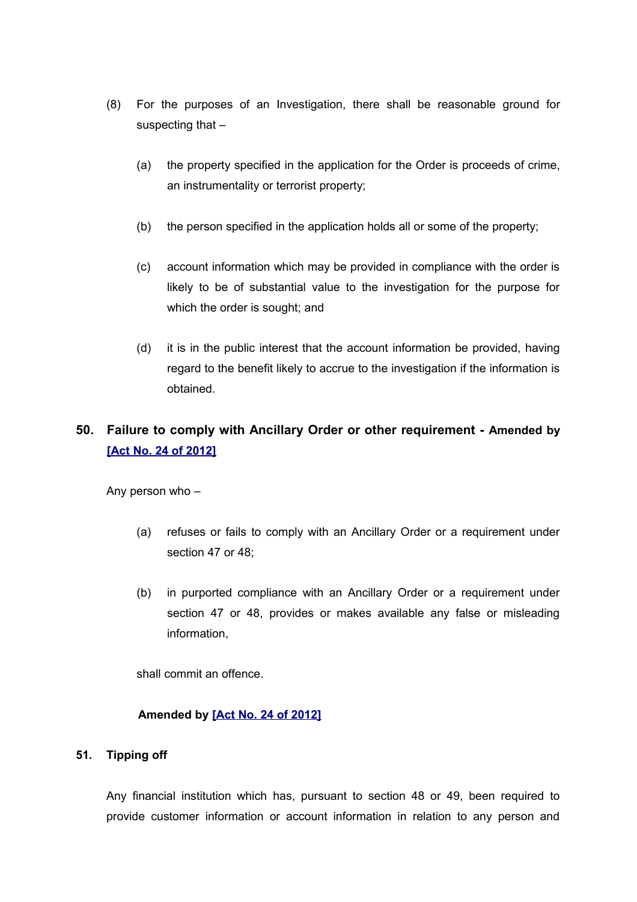- (8) For the purposes of an Investigation, there shall be reasonable ground for suspecting that -
	- (a) the property specified in the application for the Order is proceeds of crime, an instrumentality or terrorist property;
	- (b) the person specified in the application holds all or some of the property;
	- (c) account information which may be provided in compliance with the order is likely to be of substantial value to the investigation for the purpose for which the order is sought; and
	- (d) it is in the public interest that the account information be provided, having regard to the benefit likely to accrue to the investigation if the information is obtained.

# **50. Failure to comply with Ancillary Order or other requirement - Amended by [\[Act No. 24 of 2012\]](http://www1.gov.mu/scourt/doc/showDoc.do?dk=Act%20No.%2024%20of%202012&dt=A)**

Any person who –

- (a) refuses or fails to comply with an Ancillary Order or a requirement under section 47 or 48;
- (b) in purported compliance with an Ancillary Order or a requirement under section 47 or 48, provides or makes available any false or misleading information,

shall commit an offence.

## **Amended by [\[Act No. 24 of 2012\]](http://www1.gov.mu/scourt/doc/showDoc.do?dk=Act%20No.%2024%20of%202012&dt=A)**

#### **51. Tipping off**

Any financial institution which has, pursuant to section 48 or 49, been required to provide customer information or account information in relation to any person and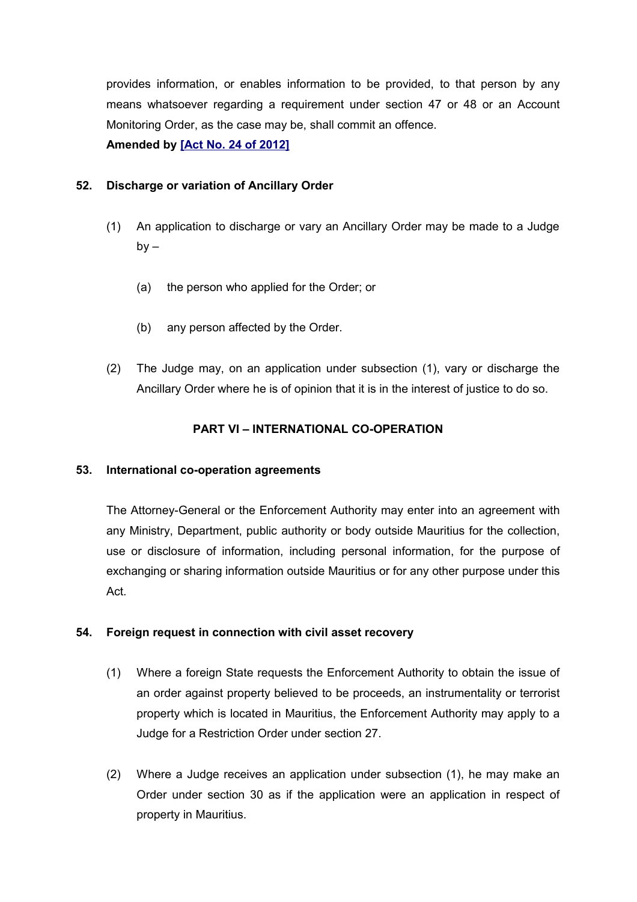provides information, or enables information to be provided, to that person by any means whatsoever regarding a requirement under section 47 or 48 or an Account Monitoring Order, as the case may be, shall commit an offence.

**Amended by [\[Act No. 24 of 2012\]](http://www1.gov.mu/scourt/doc/showDoc.do?dk=Act%20No.%2024%20of%202012&dt=A)**

# **52. Discharge or variation of Ancillary Order**

- (1) An application to discharge or vary an Ancillary Order may be made to a Judge  $by -$ 
	- (a) the person who applied for the Order; or
	- (b) any person affected by the Order.
- (2) The Judge may, on an application under subsection (1), vary or discharge the Ancillary Order where he is of opinion that it is in the interest of justice to do so.

# **PART VI – INTERNATIONAL CO-OPERATION**

## **53. International co-operation agreements**

The Attorney-General or the Enforcement Authority may enter into an agreement with any Ministry, Department, public authority or body outside Mauritius for the collection, use or disclosure of information, including personal information, for the purpose of exchanging or sharing information outside Mauritius or for any other purpose under this Act.

## **54. Foreign request in connection with civil asset recovery**

- (1) Where a foreign State requests the Enforcement Authority to obtain the issue of an order against property believed to be proceeds, an instrumentality or terrorist property which is located in Mauritius, the Enforcement Authority may apply to a Judge for a Restriction Order under section 27.
- (2) Where a Judge receives an application under subsection (1), he may make an Order under section 30 as if the application were an application in respect of property in Mauritius.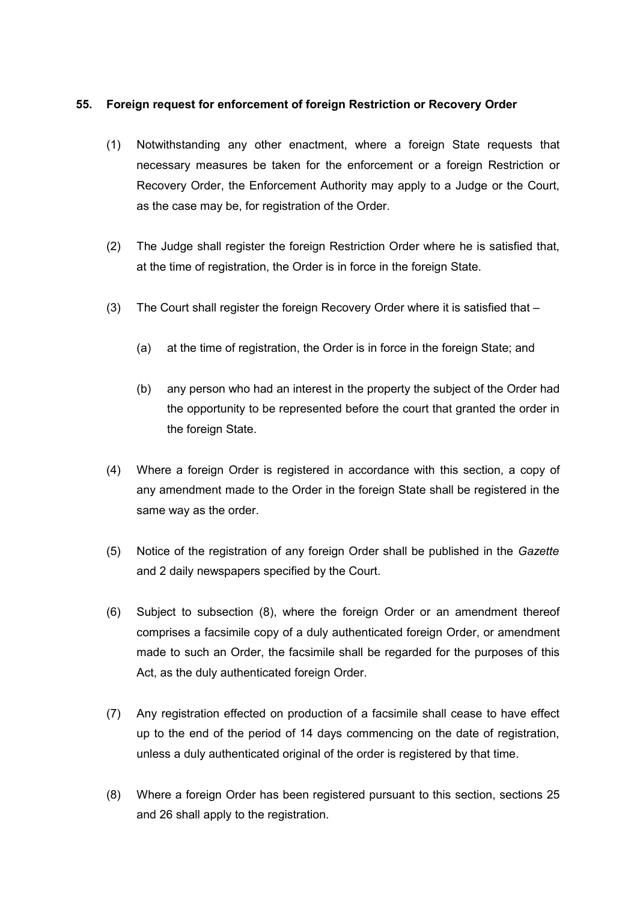## **55. Foreign request for enforcement of foreign Restriction or Recovery Order**

- (1) Notwithstanding any other enactment, where a foreign State requests that necessary measures be taken for the enforcement or a foreign Restriction or Recovery Order, the Enforcement Authority may apply to a Judge or the Court, as the case may be, for registration of the Order.
- (2) The Judge shall register the foreign Restriction Order where he is satisfied that, at the time of registration, the Order is in force in the foreign State.
- (3) The Court shall register the foreign Recovery Order where it is satisfied that
	- (a) at the time of registration, the Order is in force in the foreign State; and
	- (b) any person who had an interest in the property the subject of the Order had the opportunity to be represented before the court that granted the order in the foreign State.
- (4) Where a foreign Order is registered in accordance with this section, a copy of any amendment made to the Order in the foreign State shall be registered in the same way as the order.
- (5) Notice of the registration of any foreign Order shall be published in the *Gazette* and 2 daily newspapers specified by the Court.
- (6) Subject to subsection (8), where the foreign Order or an amendment thereof comprises a facsimile copy of a duly authenticated foreign Order, or amendment made to such an Order, the facsimile shall be regarded for the purposes of this Act, as the duly authenticated foreign Order.
- (7) Any registration effected on production of a facsimile shall cease to have effect up to the end of the period of 14 days commencing on the date of registration, unless a duly authenticated original of the order is registered by that time.
- (8) Where a foreign Order has been registered pursuant to this section, sections 25 and 26 shall apply to the registration.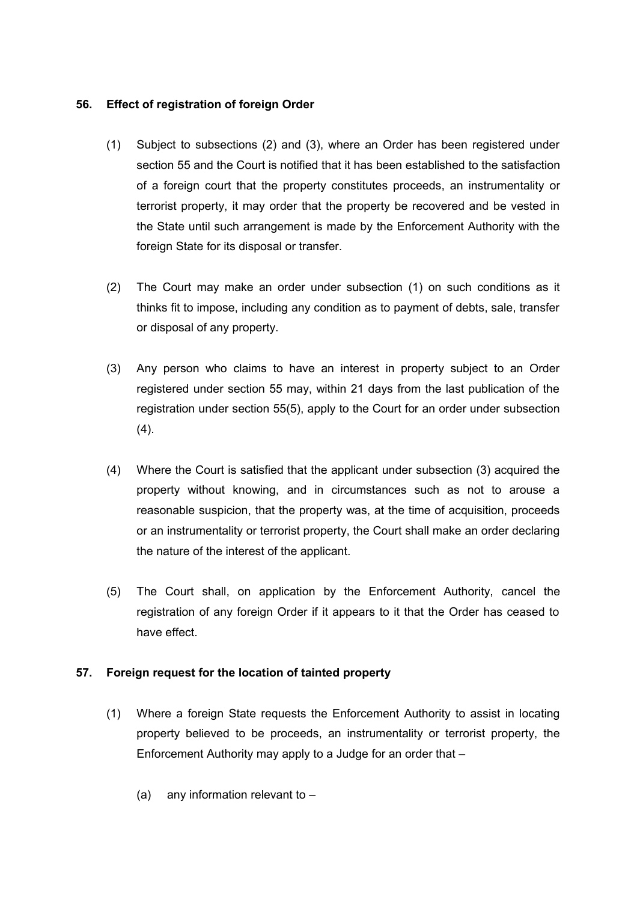## **56. Effect of registration of foreign Order**

- (1) Subject to subsections (2) and (3), where an Order has been registered under section 55 and the Court is notified that it has been established to the satisfaction of a foreign court that the property constitutes proceeds, an instrumentality or terrorist property, it may order that the property be recovered and be vested in the State until such arrangement is made by the Enforcement Authority with the foreign State for its disposal or transfer.
- (2) The Court may make an order under subsection (1) on such conditions as it thinks fit to impose, including any condition as to payment of debts, sale, transfer or disposal of any property.
- (3) Any person who claims to have an interest in property subject to an Order registered under section 55 may, within 21 days from the last publication of the registration under section 55(5), apply to the Court for an order under subsection  $(4)$ .
- (4) Where the Court is satisfied that the applicant under subsection (3) acquired the property without knowing, and in circumstances such as not to arouse a reasonable suspicion, that the property was, at the time of acquisition, proceeds or an instrumentality or terrorist property, the Court shall make an order declaring the nature of the interest of the applicant.
- (5) The Court shall, on application by the Enforcement Authority, cancel the registration of any foreign Order if it appears to it that the Order has ceased to have effect.

# **57. Foreign request for the location of tainted property**

- (1) Where a foreign State requests the Enforcement Authority to assist in locating property believed to be proceeds, an instrumentality or terrorist property, the Enforcement Authority may apply to a Judge for an order that –
	- (a) any information relevant to –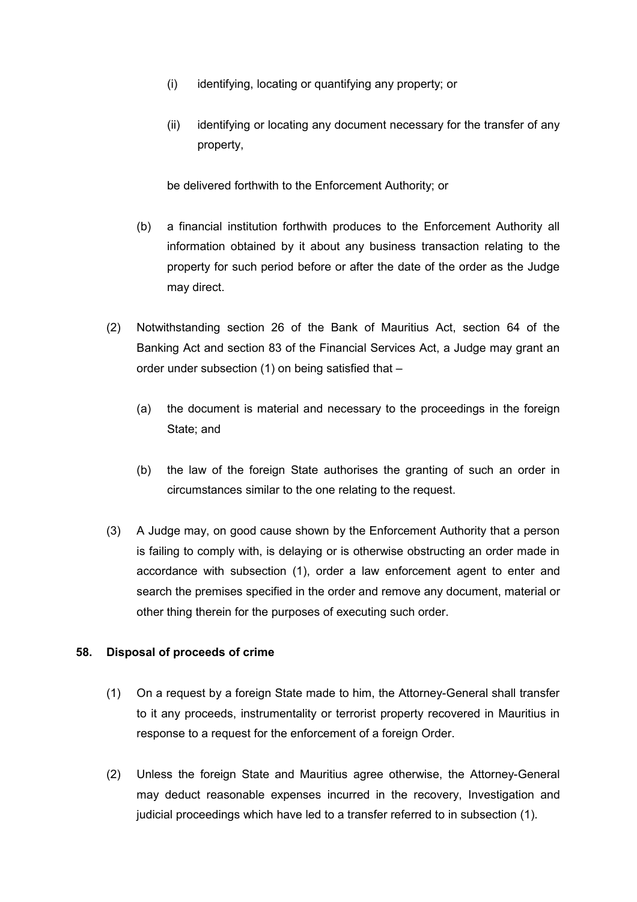- (i) identifying, locating or quantifying any property; or
- (ii) identifying or locating any document necessary for the transfer of any property,

be delivered forthwith to the Enforcement Authority; or

- (b) a financial institution forthwith produces to the Enforcement Authority all information obtained by it about any business transaction relating to the property for such period before or after the date of the order as the Judge may direct.
- (2) Notwithstanding section 26 of the Bank of Mauritius Act, section 64 of the Banking Act and section 83 of the Financial Services Act, a Judge may grant an order under subsection (1) on being satisfied that –
	- (a) the document is material and necessary to the proceedings in the foreign State; and
	- (b) the law of the foreign State authorises the granting of such an order in circumstances similar to the one relating to the request.
- (3) A Judge may, on good cause shown by the Enforcement Authority that a person is failing to comply with, is delaying or is otherwise obstructing an order made in accordance with subsection (1), order a law enforcement agent to enter and search the premises specified in the order and remove any document, material or other thing therein for the purposes of executing such order.

# **58. Disposal of proceeds of crime**

- (1) On a request by a foreign State made to him, the Attorney-General shall transfer to it any proceeds, instrumentality or terrorist property recovered in Mauritius in response to a request for the enforcement of a foreign Order.
- (2) Unless the foreign State and Mauritius agree otherwise, the Attorney-General may deduct reasonable expenses incurred in the recovery, Investigation and judicial proceedings which have led to a transfer referred to in subsection (1).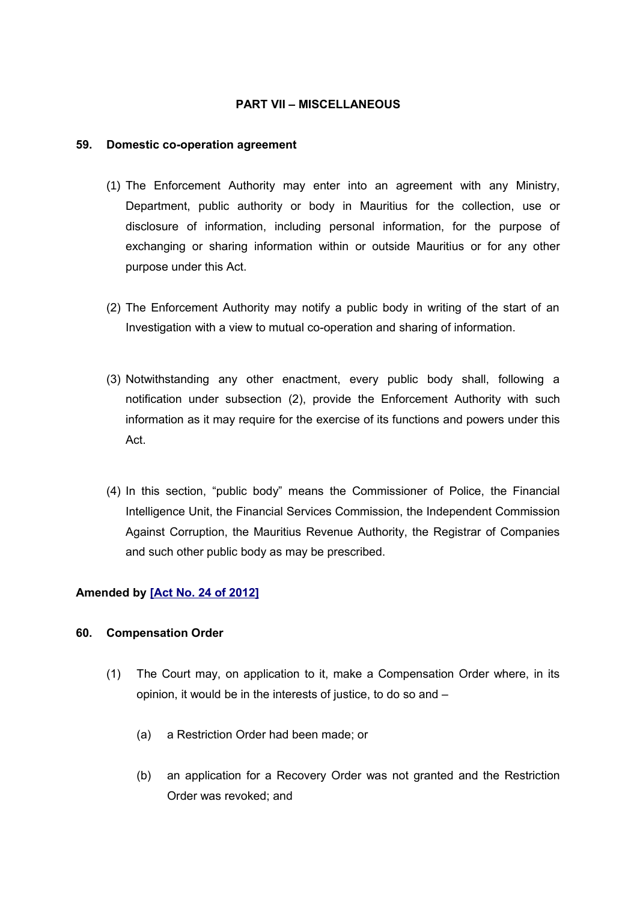## **PART VII – MISCELLANEOUS**

#### **59. Domestic co-operation agreement**

- (1) The Enforcement Authority may enter into an agreement with any Ministry, Department, public authority or body in Mauritius for the collection, use or disclosure of information, including personal information, for the purpose of exchanging or sharing information within or outside Mauritius or for any other purpose under this Act.
- (2) The Enforcement Authority may notify a public body in writing of the start of an Investigation with a view to mutual co-operation and sharing of information.
- (3) Notwithstanding any other enactment, every public body shall, following a notification under subsection (2), provide the Enforcement Authority with such information as it may require for the exercise of its functions and powers under this Act.
- (4) In this section, "public body" means the Commissioner of Police, the Financial Intelligence Unit, the Financial Services Commission, the Independent Commission Against Corruption, the Mauritius Revenue Authority, the Registrar of Companies and such other public body as may be prescribed.

## **Amended by [\[Act No. 24 of 2012\]](http://www1.gov.mu/scourt/doc/showDoc.do?dk=Act%20No.%2024%20of%202012&dt=A)**

## **60. Compensation Order**

- (1) The Court may, on application to it, make a Compensation Order where, in its opinion, it would be in the interests of justice, to do so and –
	- (a) a Restriction Order had been made; or
	- (b) an application for a Recovery Order was not granted and the Restriction Order was revoked; and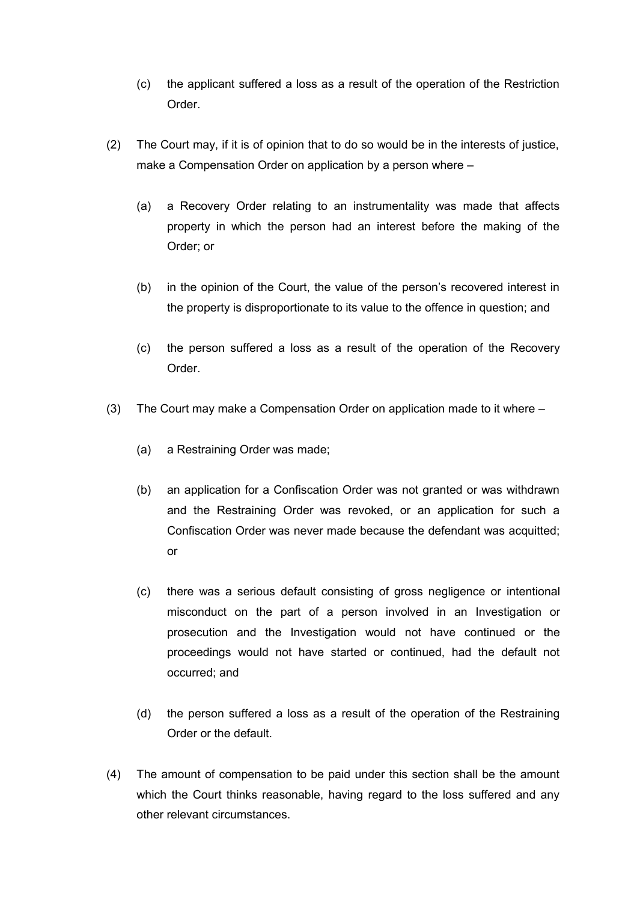- (c) the applicant suffered a loss as a result of the operation of the Restriction Order.
- (2) The Court may, if it is of opinion that to do so would be in the interests of justice, make a Compensation Order on application by a person where –
	- (a) a Recovery Order relating to an instrumentality was made that affects property in which the person had an interest before the making of the Order; or
	- (b) in the opinion of the Court, the value of the person's recovered interest in the property is disproportionate to its value to the offence in question; and
	- (c) the person suffered a loss as a result of the operation of the Recovery Order.
- (3) The Court may make a Compensation Order on application made to it where
	- (a) a Restraining Order was made;
	- (b) an application for a Confiscation Order was not granted or was withdrawn and the Restraining Order was revoked, or an application for such a Confiscation Order was never made because the defendant was acquitted; or
	- (c) there was a serious default consisting of gross negligence or intentional misconduct on the part of a person involved in an Investigation or prosecution and the Investigation would not have continued or the proceedings would not have started or continued, had the default not occurred; and
	- (d) the person suffered a loss as a result of the operation of the Restraining Order or the default.
- (4) The amount of compensation to be paid under this section shall be the amount which the Court thinks reasonable, having regard to the loss suffered and any other relevant circumstances.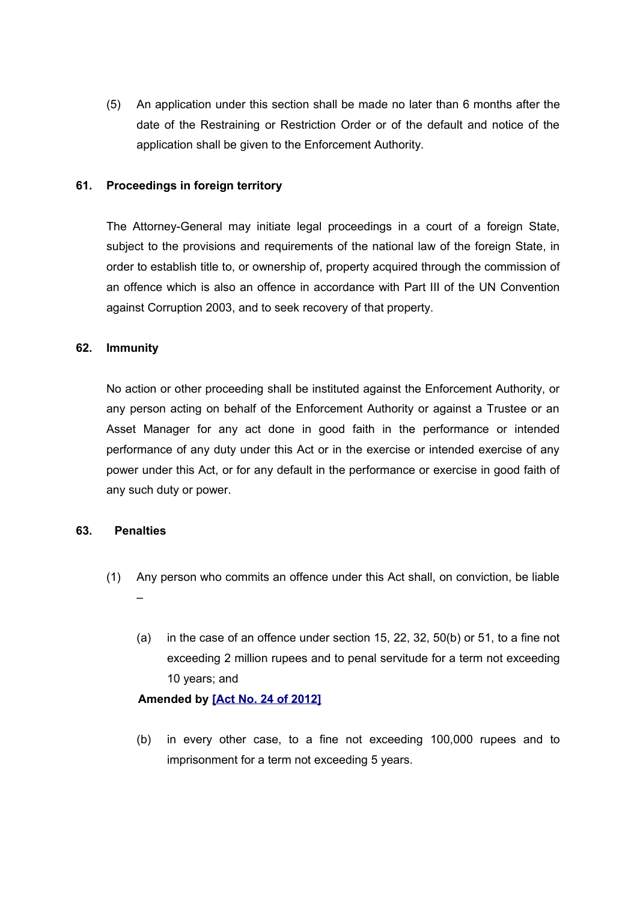(5) An application under this section shall be made no later than 6 months after the date of the Restraining or Restriction Order or of the default and notice of the application shall be given to the Enforcement Authority.

## **61. Proceedings in foreign territory**

The Attorney-General may initiate legal proceedings in a court of a foreign State, subject to the provisions and requirements of the national law of the foreign State, in order to establish title to, or ownership of, property acquired through the commission of an offence which is also an offence in accordance with Part III of the UN Convention against Corruption 2003, and to seek recovery of that property.

## **62. Immunity**

No action or other proceeding shall be instituted against the Enforcement Authority, or any person acting on behalf of the Enforcement Authority or against a Trustee or an Asset Manager for any act done in good faith in the performance or intended performance of any duty under this Act or in the exercise or intended exercise of any power under this Act, or for any default in the performance or exercise in good faith of any such duty or power.

## **63. Penalties**

- (1) Any person who commits an offence under this Act shall, on conviction, be liable –
	- (a) in the case of an offence under section 15, 22, 32, 50(b) or 51, to a fine not exceeding 2 million rupees and to penal servitude for a term not exceeding 10 years; and

## **Amended by [\[Act No. 24 of 2012\]](http://www1.gov.mu/scourt/doc/showDoc.do?dk=Act%20No.%2024%20of%202012&dt=A)**

(b) in every other case, to a fine not exceeding 100,000 rupees and to imprisonment for a term not exceeding 5 years.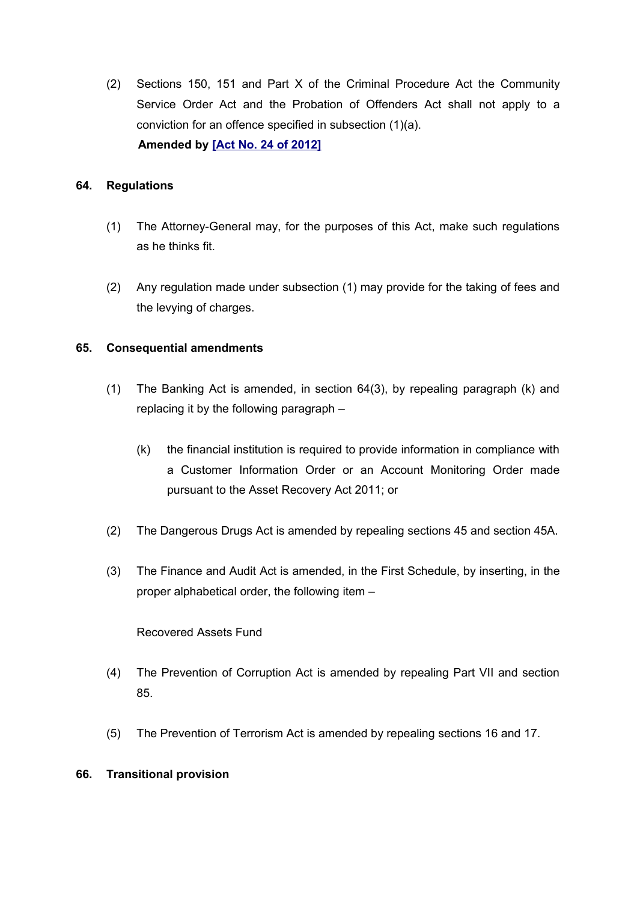(2) Sections 150, 151 and Part X of the Criminal Procedure Act the Community Service Order Act and the Probation of Offenders Act shall not apply to a conviction for an offence specified in subsection (1)(a). **Amended by [\[Act No. 24 of 2012\]](http://www1.gov.mu/scourt/doc/showDoc.do?dk=Act%20No.%2024%20of%202012&dt=A)**

## **64. Regulations**

- (1) The Attorney-General may, for the purposes of this Act, make such regulations as he thinks fit.
- (2) Any regulation made under subsection (1) may provide for the taking of fees and the levying of charges.

## **65. Consequential amendments**

- (1) The Banking Act is amended, in section 64(3), by repealing paragraph (k) and replacing it by the following paragraph –
	- (k) the financial institution is required to provide information in compliance with a Customer Information Order or an Account Monitoring Order made pursuant to the Asset Recovery Act 2011; or
- (2) The Dangerous Drugs Act is amended by repealing sections 45 and section 45A.
- (3) The Finance and Audit Act is amended, in the First Schedule, by inserting, in the proper alphabetical order, the following item –

Recovered Assets Fund

- (4) The Prevention of Corruption Act is amended by repealing Part VII and section 85.
- (5) The Prevention of Terrorism Act is amended by repealing sections 16 and 17.

## **66. Transitional provision**